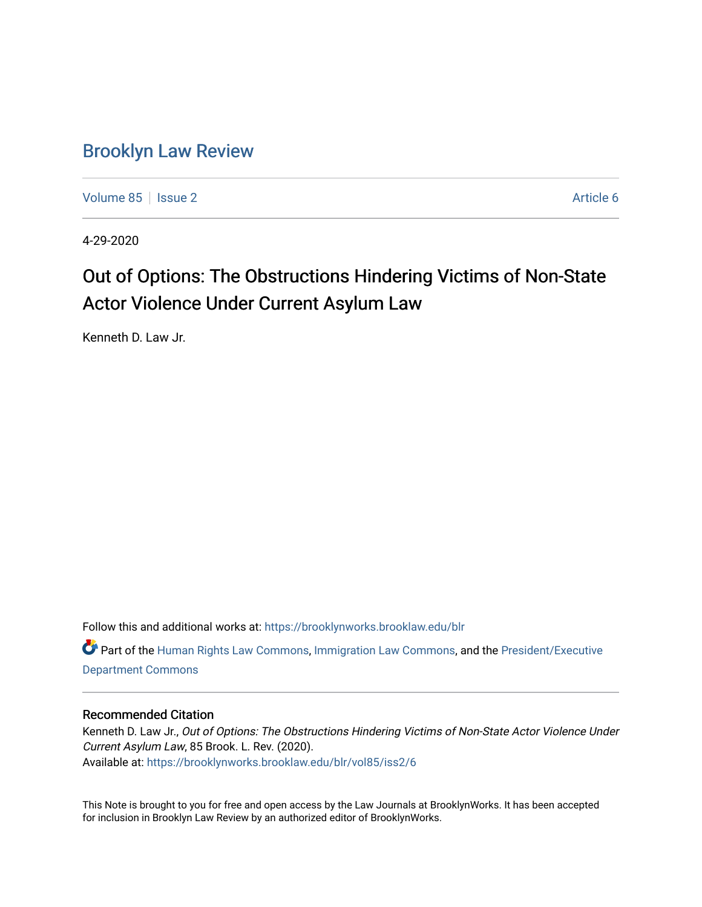# [Brooklyn Law Review](https://brooklynworks.brooklaw.edu/blr)

[Volume 85](https://brooklynworks.brooklaw.edu/blr/vol85) | [Issue 2](https://brooklynworks.brooklaw.edu/blr/vol85/iss2) Article 6

4-29-2020

# Out of Options: The Obstructions Hindering Victims of Non-State Actor Violence Under Current Asylum Law

Kenneth D. Law Jr.

Follow this and additional works at: [https://brooklynworks.brooklaw.edu/blr](https://brooklynworks.brooklaw.edu/blr?utm_source=brooklynworks.brooklaw.edu%2Fblr%2Fvol85%2Fiss2%2F6&utm_medium=PDF&utm_campaign=PDFCoverPages) 

Part of the [Human Rights Law Commons,](http://network.bepress.com/hgg/discipline/847?utm_source=brooklynworks.brooklaw.edu%2Fblr%2Fvol85%2Fiss2%2F6&utm_medium=PDF&utm_campaign=PDFCoverPages) [Immigration Law Commons](http://network.bepress.com/hgg/discipline/604?utm_source=brooklynworks.brooklaw.edu%2Fblr%2Fvol85%2Fiss2%2F6&utm_medium=PDF&utm_campaign=PDFCoverPages), and the [President/Executive](http://network.bepress.com/hgg/discipline/1118?utm_source=brooklynworks.brooklaw.edu%2Fblr%2Fvol85%2Fiss2%2F6&utm_medium=PDF&utm_campaign=PDFCoverPages) [Department Commons](http://network.bepress.com/hgg/discipline/1118?utm_source=brooklynworks.brooklaw.edu%2Fblr%2Fvol85%2Fiss2%2F6&utm_medium=PDF&utm_campaign=PDFCoverPages)

# Recommended Citation

Kenneth D. Law Jr., Out of Options: The Obstructions Hindering Victims of Non-State Actor Violence Under Current Asylum Law, 85 Brook. L. Rev. (2020). Available at: [https://brooklynworks.brooklaw.edu/blr/vol85/iss2/6](https://brooklynworks.brooklaw.edu/blr/vol85/iss2/6?utm_source=brooklynworks.brooklaw.edu%2Fblr%2Fvol85%2Fiss2%2F6&utm_medium=PDF&utm_campaign=PDFCoverPages)

This Note is brought to you for free and open access by the Law Journals at BrooklynWorks. It has been accepted for inclusion in Brooklyn Law Review by an authorized editor of BrooklynWorks.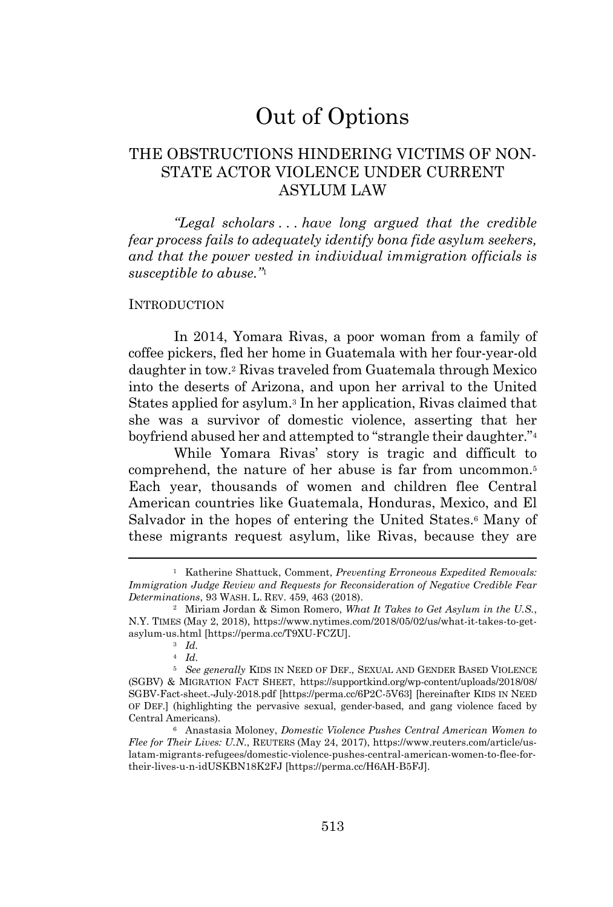# Out of Options

# THE OBSTRUCTIONS HINDERING VICTIMS OF NON-STATE ACTOR VIOLENCE UNDER CURRENT ASYLUM LAW

*"Legal scholars . . . have long argued that the credible fear process fails to adequately identify bona fide asylum seekers, and that the power vested in individual immigration officials is susceptible to abuse."*<sup>1</sup>

#### **INTRODUCTION**

In 2014, Yomara Rivas, a poor woman from a family of coffee pickers, fled her home in Guatemala with her four-year-old daughter in tow.<sup>2</sup> Rivas traveled from Guatemala through Mexico into the deserts of Arizona, and upon her arrival to the United States applied for asylum. <sup>3</sup> In her application, Rivas claimed that she was a survivor of domestic violence, asserting that her boyfriend abused her and attempted to "strangle their daughter." 4

While Yomara Rivas' story is tragic and difficult to comprehend, the nature of her abuse is far from uncommon.<sup>5</sup> Each year, thousands of women and children flee Central American countries like Guatemala, Honduras, Mexico, and El Salvador in the hopes of entering the United States.<sup>6</sup> Many of these migrants request asylum, like Rivas, because they are

<sup>1</sup> Katherine Shattuck, Comment, *Preventing Erroneous Expedited Removals: Immigration Judge Review and Requests for Reconsideration of Negative Credible Fear Determinations*, 93 WASH. L. REV. 459, 463 (2018).

<sup>2</sup> Miriam Jordan & Simon Romero, *What It Takes to Get Asylum in the U.S.*, N.Y. TIMES (May 2, 2018), https://www.nytimes.com/2018/05/02/us/what-it-takes-to-getasylum-us.html [https://perma.cc/T9XU-FCZU].

<sup>3</sup> *Id.*

<sup>4</sup> *Id.*

<sup>5</sup> *See generally* KIDS IN NEED OF DEF., SEXUAL AND GENDER BASED VIOLENCE (SGBV) & MIGRATION FACT SHEET, https://supportkind.org/wp-content/uploads/2018/08/ SGBV-Fact-sheet.-July-2018.pdf [https://perma.cc/6P2C-5V63] [hereinafter KIDS IN NEED OF DEF.] (highlighting the pervasive sexual, gender-based, and gang violence faced by Central Americans).

<sup>6</sup> Anastasia Moloney, *Domestic Violence Pushes Central American Women to Flee for Their Lives: U.N.*, REUTERS (May 24, 2017), https://www.reuters.com/article/uslatam-migrants-refugees/domestic-violence-pushes-central-american-women-to-flee-fortheir-lives-u-n-idUSKBN18K2FJ [https://perma.cc/H6AH-B5FJ].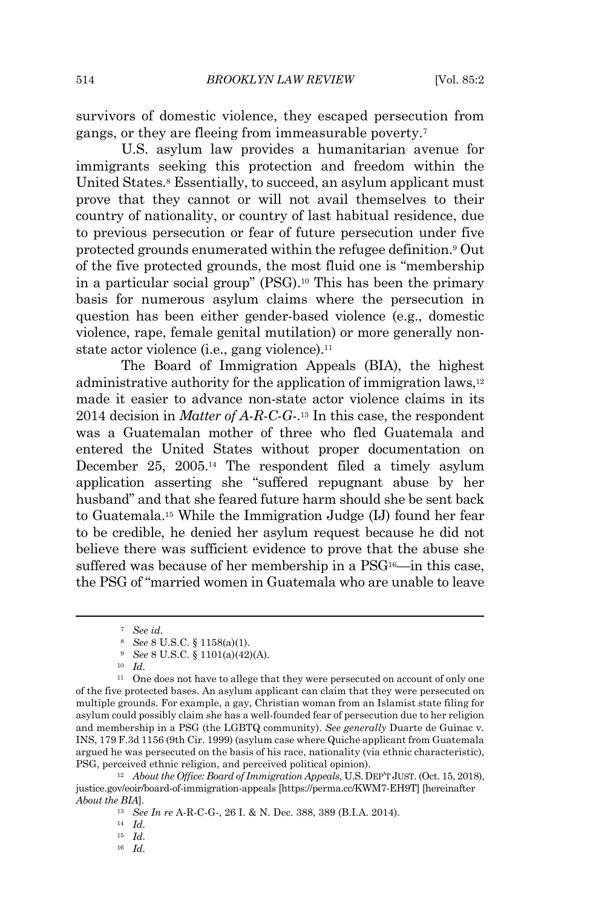survivors of domestic violence, they escaped persecution from gangs, or they are fleeing from immeasurable poverty. 7

U.S. asylum law provides a humanitarian avenue for immigrants seeking this protection and freedom within the United States. <sup>8</sup> Essentially, to succeed, an asylum applicant must prove that they cannot or will not avail themselves to their country of nationality, or country of last habitual residence, due to previous persecution or fear of future persecution under five protected grounds enumerated within the refugee definition. <sup>9</sup> Out of the five protected grounds, the most fluid one is "membership in a particular social group" (PSG).<sup>10</sup> This has been the primary basis for numerous asylum claims where the persecution in question has been either gender-based violence (e.g., domestic violence, rape, female genital mutilation) or more generally nonstate actor violence (i.e., gang violence).<sup>11</sup>

The Board of Immigration Appeals (BIA), the highest administrative authority for the application of immigration laws,<sup>12</sup> made it easier to advance non-state actor violence claims in its 2014 decision in *Matter of A-R-C-G-*. <sup>13</sup> In this case, the respondent was a Guatemalan mother of three who fled Guatemala and entered the United States without proper documentation on December 25, 2005. <sup>14</sup> The respondent filed a timely asylum application asserting she "suffered repugnant abuse by her husband" and that she feared future harm should she be sent back to Guatemala.<sup>15</sup> While the Immigration Judge (IJ) found her fear to be credible, he denied her asylum request because he did not believe there was sufficient evidence to prove that the abuse she suffered was because of her membership in a PSG<sup>16</sup>—in this case, the PSG of "married women in Guatemala who are unable to leave

<sup>7</sup> *See id.*

<sup>8</sup> *See* 8 U.S.C. § 1158(a)(1).

<sup>9</sup> *See* 8 U.S.C. § 1101(a)(42)(A).

<sup>10</sup> *Id.*

<sup>&</sup>lt;sup>11</sup> One does not have to allege that they were persecuted on account of only one of the five protected bases. An asylum applicant can claim that they were persecuted on multiple grounds. For example, a gay, Christian woman from an Islamist state filing for asylum could possibly claim she has a well-founded fear of persecution due to her religion and membership in a PSG (the LGBTQ community). *See generally* Duarte de Guinac v. INS, 179 F.3d 1156 (9th Cir. 1999) (asylum case where Quiche applicant from Guatemala argued he was persecuted on the basis of his race, nationality (via ethnic characteristic), PSG, perceived ethnic religion, and perceived political opinion).

<sup>12</sup> *About the Office: Board of Immigration Appeals*, U.S.DEP'T JUST. (Oct. 15, 2018), justice.gov/eoir/board-of-immigration-appeals [https://perma.cc/KWM7-EH9T] [hereinafter *About the BIA*].

<sup>13</sup> *See In re* A-R-C-G-, 26 I. & N. Dec. 388, 389 (B.I.A. 2014).

<sup>14</sup> *Id.*

<sup>15</sup> *Id.*

<sup>16</sup> *Id.*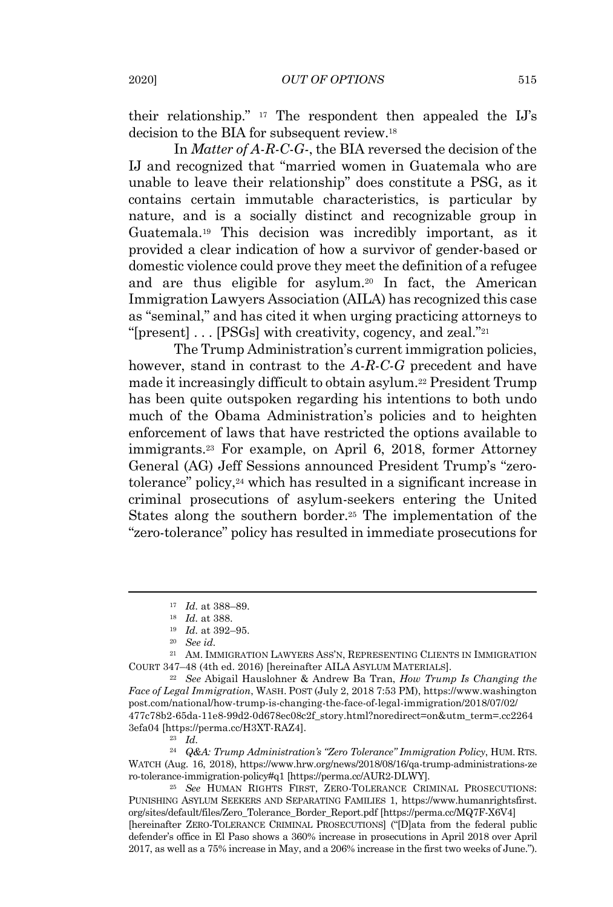their relationship." <sup>17</sup> The respondent then appealed the IJ's decision to the BIA for subsequent review.<sup>18</sup>

In *Matter of A-R-C-G-*, the BIA reversed the decision of the IJ and recognized that "married women in Guatemala who are unable to leave their relationship" does constitute a PSG, as it contains certain immutable characteristics, is particular by nature, and is a socially distinct and recognizable group in Guatemala.<sup>19</sup> This decision was incredibly important, as it provided a clear indication of how a survivor of gender-based or domestic violence could prove they meet the definition of a refugee and are thus eligible for asylum.<sup>20</sup> In fact, the American Immigration Lawyers Association (AILA) has recognized this case as "seminal," and has cited it when urging practicing attorneys to "[present] . . . [PSGs] with creativity, cogency, and zeal." 21

The Trump Administration's currentimmigration policies, however, stand in contrast to the *A-R-C-G* precedent and have made it increasingly difficult to obtain asylum.<sup>22</sup> President Trump has been quite outspoken regarding his intentions to both undo much of the Obama Administration's policies and to heighten enforcement of laws that have restricted the options available to immigrants. <sup>23</sup> For example, on April 6, 2018, former Attorney General (AG) Jeff Sessions announced President Trump's "zerotolerance" policy, <sup>24</sup> which has resulted in a significant increase in criminal prosecutions of asylum-seekers entering the United States along the southern border.<sup>25</sup> The implementation of the "zero-tolerance" policy has resulted in immediate prosecutions for

<sup>21</sup> AM. IMMIGRATION LAWYERS ASS'N, REPRESENTING CLIENTS IN IMMIGRATION COURT 347–48 (4th ed. 2016) [hereinafter AILA ASYLUM MATERIALS].

<sup>22</sup> *See* Abigail Hauslohner & Andrew Ba Tran, *How Trump Is Changing the Face of Legal Immigration*, WASH. POST (July 2, 2018 7:53 PM), https://www.washington post.com/national/how-trump-is-changing-the-face-of-legal-immigration/2018/07/02/ 477c78b2-65da-11e8-99d2-0d678ec08c2f\_story.html?noredirect=on&utm\_term=.cc2264 3efa04 [https://perma.cc/H3XT-RAZ4].

<sup>24</sup> *Q&A: Trump Administration's "Zero Tolerance" Immigration Policy*, HUM. RTS. WATCH (Aug. 16, 2018), https://www.hrw.org/news/2018/08/16/qa-trump-administrations-ze ro-tolerance-immigration-policy#q1 [https://perma.cc/AUR2-DLWY].

<sup>25</sup> *See* HUMAN RIGHTS FIRST, ZERO-TOLERANCE CRIMINAL PROSECUTIONS: PUNISHING ASYLUM SEEKERS AND SEPARATING FAMILIES 1, https://www.humanrightsfirst. org/sites/default/files/Zero\_Tolerance\_Border\_Report.pdf [https://perma.cc/MQ7F-X6V4] [hereinafter ZERO-TOLERANCE CRIMINAL PROSECUTIONS] ("[D]ata from the federal public defender's office in El Paso shows a 360% increase in prosecutions in April 2018 over April 2017, as well as a 75% increase in May, and a 206% increase in the first two weeks of June.").

<sup>17</sup> *Id.* at 388–89.

<sup>18</sup> *Id.* at 388.

<sup>19</sup> *Id.* at 392–95.

<sup>20</sup> *See id.*

<sup>23</sup> *Id.*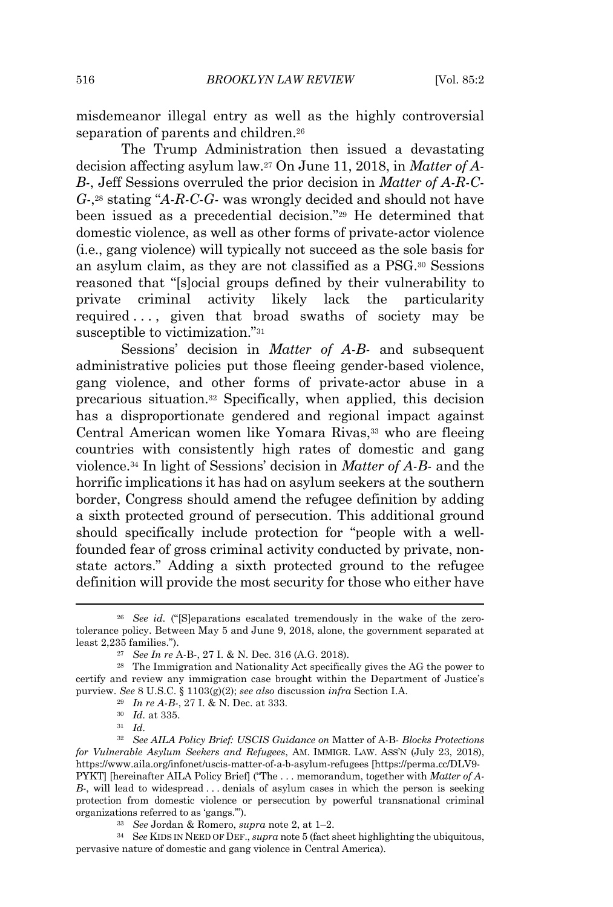misdemeanor illegal entry as well as the highly controversial separation of parents and children.<sup>26</sup>

The Trump Administration then issued a devastating decision affecting asylum law.<sup>27</sup> On June 11, 2018, in *Matter of A-B-*, Jeff Sessions overruled the prior decision in *Matter of A-R-C-G-*, <sup>28</sup> stating "*A-R-C-G-* was wrongly decided and should not have been issued as a precedential decision." <sup>29</sup> He determined that domestic violence, as well as other forms of private-actor violence (i.e., gang violence) will typically not succeed as the sole basis for an asylum claim, as they are not classified as a PSG.<sup>30</sup> Sessions reasoned that "[s]ocial groups defined by their vulnerability to private criminal activity likely lack the particularity required ..., given that broad swaths of society may be susceptible to victimization."<sup>31</sup>

Sessions' decision in *Matter of A-B-* and subsequent administrative policies put those fleeing gender-based violence, gang violence, and other forms of private-actor abuse in a precarious situation.<sup>32</sup> Specifically, when applied, this decision has a disproportionate gendered and regional impact against Central American women like Yomara Rivas,<sup>33</sup> who are fleeing countries with consistently high rates of domestic and gang violence.<sup>34</sup> In light of Sessions' decision in *Matter of A-B-* and the horrific implications it has had on asylum seekers at the southern border, Congress should amend the refugee definition by adding a sixth protected ground of persecution. This additional ground should specifically include protection for "people with a wellfounded fear of gross criminal activity conducted by private, nonstate actors." Adding a sixth protected ground to the refugee definition will provide the most security for those who either have

<sup>26</sup> *See id.* ("[S]eparations escalated tremendously in the wake of the zerotolerance policy. Between May 5 and June 9, 2018, alone, the government separated at least 2,235 families.").

<sup>27</sup> *See In re* A-B-, 27 I. & N. Dec. 316 (A.G. 2018).

<sup>28</sup> The Immigration and Nationality Act specifically gives the AG the power to certify and review any immigration case brought within the Department of Justice's purview. *See* 8 U.S.C. § 1103(g)(2); *see also* discussion *infra* Section I.A.

<sup>29</sup> *In re A-B-*, 27 I. & N. Dec. at 333.

<sup>30</sup> *Id.* at 335.

<sup>31</sup> *Id.*

<sup>32</sup> *See AILA Policy Brief: USCIS Guidance on* Matter of A-B- *Blocks Protections for Vulnerable Asylum Seekers and Refugees*, AM. IMMIGR. LAW. ASS'N (July 23, 2018), https://www.aila.org/infonet/uscis-matter-of-a-b-asylum-refugees [https://perma.cc/DLV9- PYKT] [hereinafter AILA Policy Brief] ("The . . . memorandum, together with *Matter of A-B-*, will lead to widespread . . . denials of asylum cases in which the person is seeking protection from domestic violence or persecution by powerful transnational criminal organizations referred to as 'gangs.'").

<sup>33</sup> *See* Jordan & Romero, *supra* note 2, at 1–2.

<sup>34</sup> S*ee* KIDS IN NEED OF DEF., *supra* note 5 (fact sheet highlighting the ubiquitous, pervasive nature of domestic and gang violence in Central America).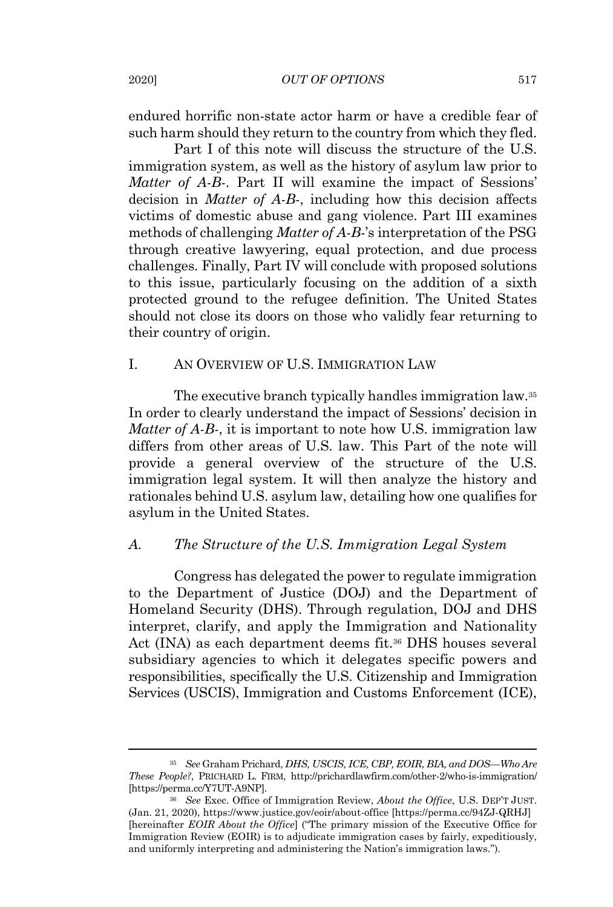endured horrific non-state actor harm or have a credible fear of such harm should they return to the country from which they fled.

Part I of this note will discuss the structure of the U.S. immigration system, as well as the history of asylum law prior to *Matter of A-B-*. Part II will examine the impact of Sessions' decision in *Matter of A-B-*, including how this decision affects victims of domestic abuse and gang violence. Part III examines methods of challenging *Matter of A-B-*'s interpretation of the PSG through creative lawyering, equal protection, and due process challenges. Finally, Part IV will conclude with proposed solutions to this issue, particularly focusing on the addition of a sixth protected ground to the refugee definition. The United States should not close its doors on those who validly fear returning to their country of origin.

#### I. AN OVERVIEW OF U.S. IMMIGRATION LAW

The executive branch typically handles immigration law. 35 In order to clearly understand the impact of Sessions' decision in *Matter of A-B-*, it is important to note how U.S. immigration law differs from other areas of U.S. law. This Part of the note will provide a general overview of the structure of the U.S. immigration legal system. It will then analyze the history and rationales behind U.S. asylum law, detailing how one qualifies for asylum in the United States.

# *A. The Structure of the U.S. Immigration Legal System*

Congress has delegated the power to regulate immigration to the Department of Justice (DOJ) and the Department of Homeland Security (DHS). Through regulation, DOJ and DHS interpret, clarify, and apply the Immigration and Nationality Act (INA) as each department deems fit. <sup>36</sup> DHS houses several subsidiary agencies to which it delegates specific powers and responsibilities, specifically the U.S. Citizenship and Immigration Services (USCIS), Immigration and Customs Enforcement (ICE),

<sup>35</sup> *See* Graham Prichard, *DHS, USCIS, ICE, CBP, EOIR, BIA, and DOS—Who Are These People?*, PRICHARD L. FIRM, http://prichardlawfirm.com/other-2/who-is-immigration/ [https://perma.cc/Y7UT-A9NP].

<sup>36</sup> *See* Exec. Office of Immigration Review, *About the Office*, U.S. DEP'T JUST. (Jan. 21, 2020), https://www.justice.gov/eoir/about-office [https://perma.cc/94ZJ-QRHJ] [hereinafter *EOIR About the Office*] ("The primary mission of the Executive Office for Immigration Review (EOIR) is to adjudicate immigration cases by fairly, expeditiously, and uniformly interpreting and administering the Nation's immigration laws.").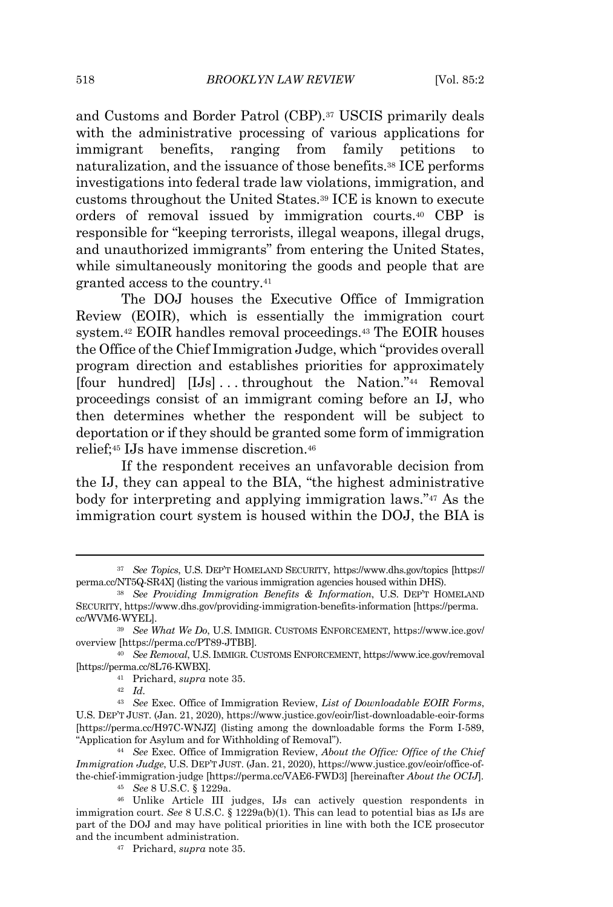and Customs and Border Patrol (CBP). <sup>37</sup> USCIS primarily deals with the administrative processing of various applications for immigrant benefits, ranging from family petitions to naturalization, and the issuance of those benefits.<sup>38</sup> ICE performs investigations into federal trade law violations, immigration, and customs throughout the United States.<sup>39</sup> ICE is known to execute orders of removal issued by immigration courts. <sup>40</sup> CBP is responsible for "keeping terrorists, illegal weapons, illegal drugs, and unauthorized immigrants" from entering the United States, while simultaneously monitoring the goods and people that are granted access to the country.<sup>41</sup>

The DOJ houses the Executive Office of Immigration Review (EOIR), which is essentially the immigration court system.<sup>42</sup> EOIR handles removal proceedings.<sup>43</sup> The EOIR houses the Office of the Chief Immigration Judge, which "provides overall program direction and establishes priorities for approximately [four hundred] [IJs] . . . throughout the Nation."<sup>44</sup> Removal proceedings consist of an immigrant coming before an IJ, who then determines whether the respondent will be subject to deportation or if they should be granted some form of immigration relief;<sup>45</sup> IJs have immense discretion.<sup>46</sup>

If the respondent receives an unfavorable decision from the IJ, they can appeal to the BIA, "the highest administrative body for interpreting and applying immigration laws."<sup>47</sup> As the immigration court system is housed within the DOJ, the BIA is

<sup>41</sup> Prichard, *supra* note 35.

<sup>42</sup> *Id.*

<sup>37</sup> *See Topics*, U.S. DEP'T HOMELAND SECURITY, https://www.dhs.gov/topics [https:// perma.cc/NT5Q-SR4X] (listing the various immigration agencies housed within DHS).

<sup>38</sup> *See Providing Immigration Benefits & Information*, U.S. DEP'T HOMELAND SECURITY, https://www.dhs.gov/providing-immigration-benefits-information [https://perma. cc/WVM6-WYEL].

<sup>39</sup> *See What We Do*, U.S. IMMIGR. CUSTOMS ENFORCEMENT, https://www.ice.gov/ overview [https://perma.cc/PT89-JTBB]*.*

<sup>40</sup> *See Removal*, U.S. IMMIGR. CUSTOMS ENFORCEMENT, https://www.ice.gov/removal [https://perma.cc/8L76-KWBX]*.*

<sup>43</sup> *See* Exec. Office of Immigration Review, *List of Downloadable EOIR Forms*, U.S. DEP'T JUST. (Jan. 21, 2020), https://www.justice.gov/eoir/list-downloadable-eoir-forms [https://perma.cc/H97C-WNJZ] (listing among the downloadable forms the Form I-589, "Application for Asylum and for Withholding of Removal").

<sup>44</sup> *See* Exec. Office of Immigration Review, *About the Office: Office of the Chief Immigration Judge*, U.S. DEP'T JUST. (Jan. 21, 2020), https://www.justice.gov/eoir/office-ofthe-chief-immigration-judge [https://perma.cc/VAE6-FWD3] [hereinafter *About the OCIJ*].

<sup>45</sup> *See* 8 U.S.C. § 1229a.

<sup>46</sup> Unlike Article III judges, IJs can actively question respondents in immigration court. *See* 8 U.S.C. § 1229a(b)(1). This can lead to potential bias as IJs are part of the DOJ and may have political priorities in line with both the ICE prosecutor and the incumbent administration.

<sup>47</sup> Prichard, *supra* note 35.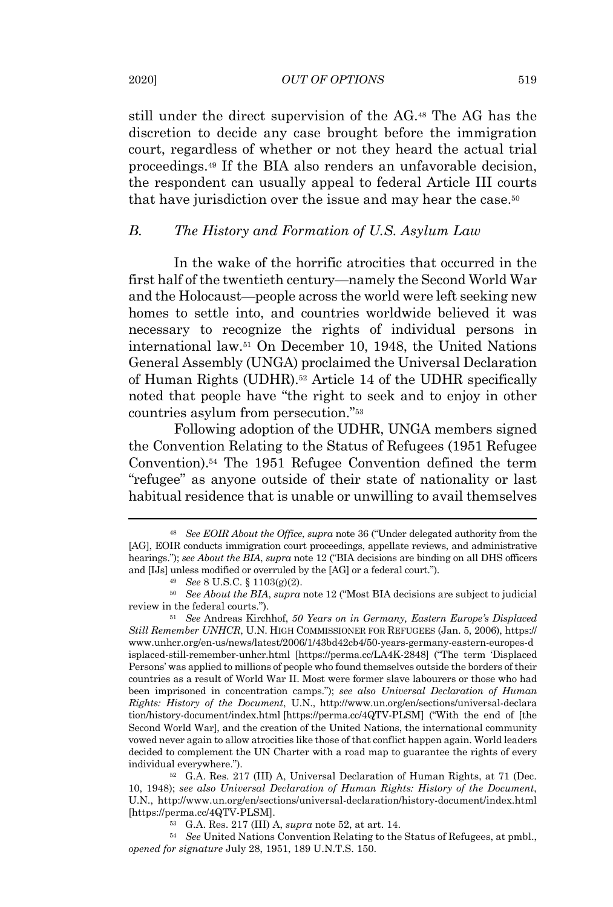still under the direct supervision of the AG.<sup>48</sup> The AG has the discretion to decide any case brought before the immigration court, regardless of whether or not they heard the actual trial proceedings. <sup>49</sup> If the BIA also renders an unfavorable decision, the respondent can usually appeal to federal Article III courts that have jurisdiction over the issue and may hear the case.<sup>50</sup>

#### *B. The History and Formation of U.S. Asylum Law*

In the wake of the horrific atrocities that occurred in the first half of the twentieth century—namely the Second World War and the Holocaust—people across the world were left seeking new homes to settle into, and countries worldwide believed it was necessary to recognize the rights of individual persons in international law.<sup>51</sup> On December 10, 1948, the United Nations General Assembly (UNGA) proclaimed the Universal Declaration of Human Rights (UDHR).<sup>52</sup> Article 14 of the UDHR specifically noted that people have "the right to seek and to enjoy in other countries asylum from persecution." 53

Following adoption of the UDHR, UNGA members signed the Convention Relating to the Status of Refugees (1951 Refugee Convention).<sup>54</sup> The 1951 Refugee Convention defined the term "refugee" as anyone outside of their state of nationality or last habitual residence that is unable or unwilling to avail themselves

<sup>48</sup> *See EOIR About the Office*, *supra* note 36 ("Under delegated authority from the [AG], EOIR conducts immigration court proceedings, appellate reviews, and administrative hearings."); *see About the BIA*, *supra* note 12 ("BIA decisions are binding on all DHS officers and [IJs] unless modified or overruled by the [AG] or a federal court.").

<sup>49</sup> *See* 8 U.S.C. § 1103(g)(2).

<sup>50</sup> *See About the BIA*, *supra* note 12 ("Most BIA decisions are subject to judicial review in the federal courts.").

<sup>51</sup> *See* Andreas Kirchhof, *50 Years on in Germany, Eastern Europe's Displaced Still Remember UNHCR*, U.N. HIGH COMMISSIONER FOR REFUGEES (Jan. 5, 2006), https:// www.unhcr.org/en-us/news/latest/2006/1/43bd42cb4/50-years-germany-eastern-europes-d isplaced-still-remember-unhcr.html [https://perma.cc/LA4K-2848] ("The term 'Displaced Persons' was applied to millions of people who found themselves outside the borders of their countries as a result of World War II. Most were former slave labourers or those who had been imprisoned in concentration camps."); *see also Universal Declaration of Human Rights: History of the Document*, U.N., http://www.un.org/en/sections/universal-declara tion/history-document/index.html [https://perma.cc/4QTV-PLSM] ("With the end of [the Second World War], and the creation of the United Nations, the international community vowed never again to allow atrocities like those of that conflict happen again. World leaders decided to complement the UN Charter with a road map to guarantee the rights of every individual everywhere.").

<sup>52</sup> G.A. Res. 217 (III) A, Universal Declaration of Human Rights, at 71 (Dec. 10, 1948); *see also Universal Declaration of Human Rights: History of the Document*, U.N., http://www.un.org/en/sections/universal-declaration/history-document/index.html [https://perma.cc/4QTV-PLSM].

<sup>53</sup> G.A. Res. 217 (III) A, *supra* note 52, at art. 14.

<sup>54</sup> *See* United Nations Convention Relating to the Status of Refugees, at pmbl., *opened for signature* July 28, 1951, 189 U.N.T.S. 150.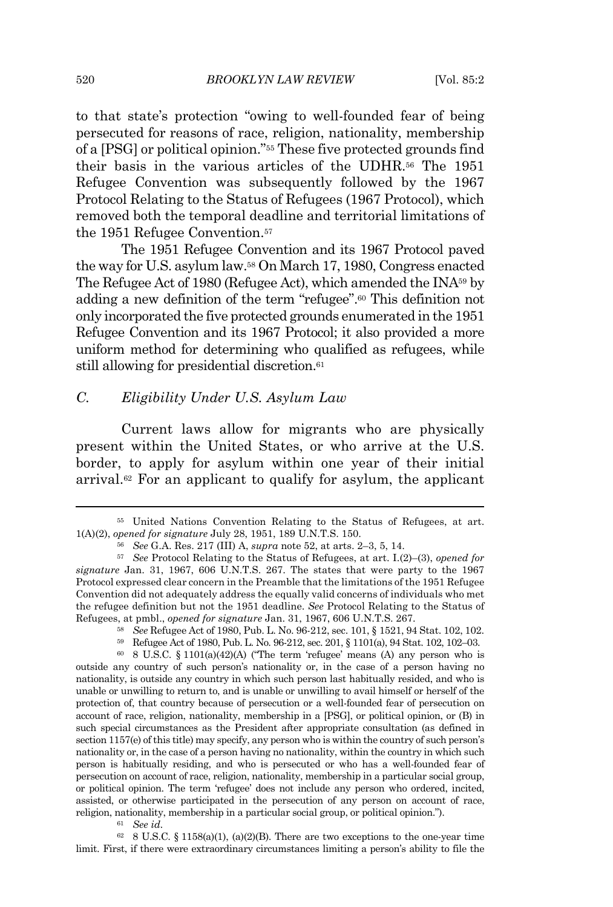to that state's protection "owing to well-founded fear of being persecuted for reasons of race, religion, nationality, membership of a [PSG] or political opinion."<sup>55</sup> These five protected grounds find their basis in the various articles of the UDHR. <sup>56</sup> The 1951 Refugee Convention was subsequently followed by the 1967 Protocol Relating to the Status of Refugees (1967 Protocol), which removed both the temporal deadline and territorial limitations of the 1951 Refugee Convention. 57

The 1951 Refugee Convention and its 1967 Protocol paved the way for U.S. asylum law.<sup>58</sup> On March 17, 1980, Congress enacted The Refugee Act of 1980 (Refugee Act), which amended the INA<sup>59</sup> by adding a new definition of the term "refugee".<sup>60</sup> This definition not only incorporated the five protected grounds enumerated in the 1951 Refugee Convention and its 1967 Protocol; it also provided a more uniform method for determining who qualified as refugees, while still allowing for presidential discretion.<sup>61</sup>

## *C. Eligibility Under U.S. Asylum Law*

Current laws allow for migrants who are physically present within the United States, or who arrive at the U.S. border, to apply for asylum within one year of their initial arrival.<sup>62</sup> For an applicant to qualify for asylum, the applicant

 $62$  8 U.S.C. § 1158(a)(1), (a)(2)(B). There are two exceptions to the one-year time limit. First, if there were extraordinary circumstances limiting a person's ability to file the

<sup>55</sup> United Nations Convention Relating to the Status of Refugees, at art. 1(A)(2), *opened for signature* July 28, 1951, 189 U.N.T.S. 150.

<sup>56</sup> *See* G.A. Res. 217 (III) A, *supra* note 52, at arts. 2–3, 5, 14.

<sup>57</sup> *See* Protocol Relating to the Status of Refugees, at art. I.(2)–(3), *opened for signature* Jan. 31, 1967, 606 U.N.T.S. 267. The states that were party to the 1967 Protocol expressed clear concern in the Preamble that the limitations of the 1951 Refugee Convention did not adequately address the equally valid concerns of individuals who met the refugee definition but not the 1951 deadline. *See* Protocol Relating to the Status of Refugees, at pmbl., *opened for signature* Jan. 31, 1967, 606 U.N.T.S. 267.

<sup>58</sup> *See* Refugee Act of 1980, Pub. L. No. 96-212, sec. 101, § 1521, 94 Stat. 102, 102.

<sup>59</sup> Refugee Act of 1980, Pub. L. No. 96-212, sec. 201, § 1101(a), 94 Stat. 102, 102–03.

 $60$  8 U.S.C. § 1101(a)(42)(A) ("The term 'refugee' means (A) any person who is outside any country of such person's nationality or, in the case of a person having no nationality, is outside any country in which such person last habitually resided, and who is unable or unwilling to return to, and is unable or unwilling to avail himself or herself of the protection of, that country because of persecution or a well-founded fear of persecution on account of race, religion, nationality, membership in a [PSG], or political opinion, or (B) in such special circumstances as the President after appropriate consultation (as defined in section 1157(e) of this title) may specify, any person who is within the country of such person's nationality or, in the case of a person having no nationality, within the country in which such person is habitually residing, and who is persecuted or who has a well-founded fear of persecution on account of race, religion, nationality, membership in a particular social group, or political opinion. The term 'refugee' does not include any person who ordered, incited, assisted, or otherwise participated in the persecution of any person on account of race, religion, nationality, membership in a particular social group, or political opinion.").

<sup>61</sup> *See id.*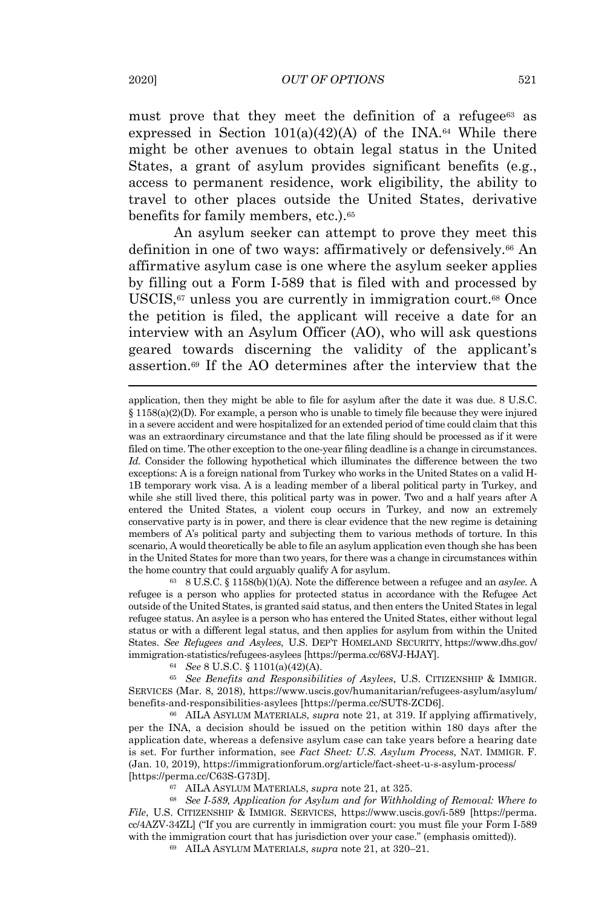must prove that they meet the definition of a refugee<sup>63</sup> as expressed in Section  $101(a)(42)(A)$  of the INA.<sup>64</sup> While there might be other avenues to obtain legal status in the United States, a grant of asylum provides significant benefits (e.g., access to permanent residence, work eligibility, the ability to travel to other places outside the United States, derivative benefits for family members, etc.).<sup>65</sup>

An asylum seeker can attempt to prove they meet this definition in one of two ways: affirmatively or defensively.<sup>66</sup> An affirmative asylum case is one where the asylum seeker applies by filling out a Form I-589 that is filed with and processed by USCIS,<sup>67</sup> unless you are currently in immigration court.<sup>68</sup> Once the petition is filed, the applicant will receive a date for an interview with an Asylum Officer (AO), who will ask questions geared towards discerning the validity of the applicant's assertion.<sup>69</sup> If the AO determines after the interview that the

<sup>63</sup> 8 U.S.C. § 1158(b)(1)(A). Note the difference between a refugee and an *asylee*. A refugee is a person who applies for protected status in accordance with the Refugee Act outside ofthe United States, is granted said status, and then enters the United States in legal refugee status. An asylee is a person who has entered the United States, either without legal status or with a different legal status, and then applies for asylum from within the United States. *See Refugees and Asylees*, U.S. DEP'T HOMELAND SECURITY, https://www.dhs.gov/ immigration-statistics/refugees-asylees [https://perma.cc/68VJ-HJAY].

<sup>64</sup> *See* 8 U.S.C. § 1101(a)(42)(A).

<sup>65</sup> *See Benefits and Responsibilities of Asylees*, U.S. CITIZENSHIP & IMMIGR. SERVICES (Mar. 8, 2018), https://www.uscis.gov/humanitarian/refugees-asylum/asylum/ benefits-and-responsibilities-asylees [https://perma.cc/SUT8-ZCD6].

<sup>66</sup> AILA ASYLUM MATERIALS, *supra* note 21, at 319. If applying affirmatively, per the INA, a decision should be issued on the petition within 180 days after the application date, whereas a defensive asylum case can take years before a hearing date is set. For further information, see *Fact Sheet: U.S. Asylum Process*, NAT. IMMIGR. F. (Jan. 10, 2019), https://immigrationforum.org/article/fact-sheet-u-s-asylum-process/ [https://perma.cc/C63S-G73D].

<sup>67</sup> AILA ASYLUM MATERIALS, *supra* note 21, at 325.

<sup>68</sup> *See I-589, Application for Asylum and for Withholding of Removal: Where to File*, U.S. CITIZENSHIP & IMMIGR. SERVICES, https://www.uscis.gov/i-589 [https://perma. cc/4AZV-34ZL] ("If you are currently in immigration court: you must file your Form I-589 with the immigration court that has jurisdiction over your case." (emphasis omitted)).

<sup>69</sup> AILA ASYLUM MATERIALS, *supra* note 21, at 320–21.

application, then they might be able to file for asylum after the date it was due. 8 U.S.C. § 1158(a)(2)(D). For example, a person who is unable to timely file because they were injured in a severe accident and were hospitalized for an extended period oftime could claim that this was an extraordinary circumstance and that the late filing should be processed as if it were filed on time. The other exception to the one-year filing deadline is a change in circumstances. *Id.* Consider the following hypothetical which illuminates the difference between the two exceptions: A is a foreign national from Turkey who works in the United States on a valid H-1B temporary work visa. A is a leading member of a liberal political party in Turkey, and while she still lived there, this political party was in power. Two and a half years after A entered the United States, a violent coup occurs in Turkey, and now an extremely conservative party is in power, and there is clear evidence that the new regime is detaining members of A's political party and subjecting them to various methods of torture. In this scenario, A would theoretically be able to file an asylum application even though she has been in the United States for more than two years, for there was a change in circumstances within the home country that could arguably qualify A for asylum.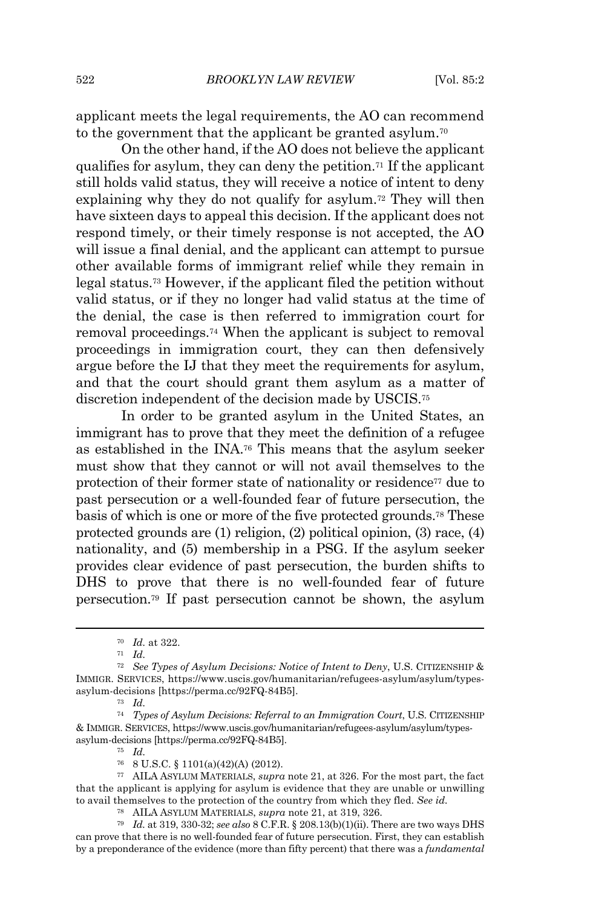applicant meets the legal requirements, the AO can recommend to the government that the applicant be granted asylum.<sup>70</sup>

On the other hand, if the AO does not believe the applicant qualifies for asylum, they can deny the petition.<sup>71</sup> If the applicant still holds valid status, they will receive a notice of intent to deny explaining why they do not qualify for asylum. <sup>72</sup> They will then have sixteen days to appeal this decision. If the applicant does not respond timely, or their timely response is not accepted, the AO will issue a final denial, and the applicant can attempt to pursue other available forms of immigrant relief while they remain in legal status.<sup>73</sup> However, if the applicant filed the petition without valid status, or if they no longer had valid status at the time of the denial, the case is then referred to immigration court for removal proceedings. <sup>74</sup> When the applicant is subject to removal proceedings in immigration court, they can then defensively argue before the IJ that they meet the requirements for asylum, and that the court should grant them asylum as a matter of discretion independent of the decision made by USCIS.<sup>75</sup>

In order to be granted asylum in the United States, an immigrant has to prove that they meet the definition of a refugee as established in the INA.<sup>76</sup> This means that the asylum seeker must show that they cannot or will not avail themselves to the protection of their former state of nationality or residence<sup>77</sup> due to past persecution or a well-founded fear of future persecution, the basis of which is one or more of the five protected grounds. <sup>78</sup> These protected grounds are (1) religion, (2) political opinion, (3) race, (4) nationality, and (5) membership in a PSG. If the asylum seeker provides clear evidence of past persecution, the burden shifts to DHS to prove that there is no well-founded fear of future persecution.<sup>79</sup> If past persecution cannot be shown, the asylum

<sup>73</sup> *Id.*

<sup>70</sup> *Id.* at 322.

<sup>71</sup> *Id.*

<sup>72</sup> *See Types of Asylum Decisions: Notice of Intent to Deny*, U.S. CITIZENSHIP & IMMIGR. SERVICES, https://www.uscis.gov/humanitarian/refugees-asylum/asylum/typesasylum-decisions [https://perma.cc/92FQ-84B5].

<sup>74</sup> *Types of Asylum Decisions: Referral to an Immigration Court*, U.S. CITIZENSHIP & IMMIGR. SERVICES, https://www.uscis.gov/humanitarian/refugees-asylum/asylum/typesasylum-decisions [https://perma.cc/92FQ-84B5].

<sup>75</sup> *Id.*

<sup>76</sup> 8 U.S.C. § 1101(a)(42)(A) (2012).

<sup>77</sup> AILA ASYLUM MATERIALS, *supra* note 21, at 326. For the most part, the fact that the applicant is applying for asylum is evidence that they are unable or unwilling to avail themselves to the protection of the country from which they fled. *See id.*

<sup>78</sup> AILA ASYLUM MATERIALS, *supra* note 21, at 319, 326.

<sup>79</sup> *Id.* at 319, 330-32; *see also* 8 C.F.R. § 208.13(b)(1)(ii). There are two ways DHS can prove that there is no well-founded fear of future persecution. First, they can establish by a preponderance of the evidence (more than fifty percent) that there was a *fundamental*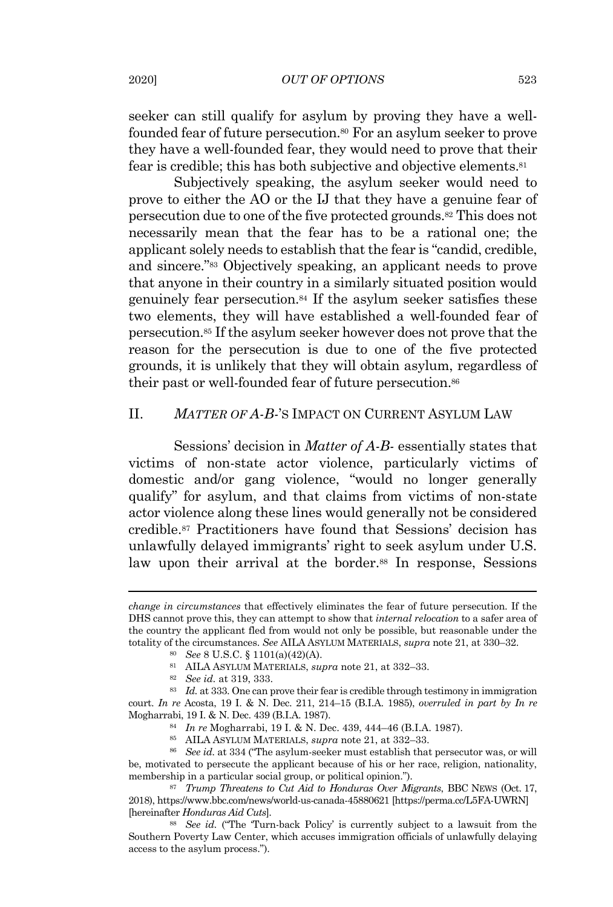seeker can still qualify for asylum by proving they have a wellfounded fear of future persecution.<sup>80</sup> For an asylum seeker to prove they have a well-founded fear, they would need to prove that their fear is credible; this has both subjective and objective elements.<sup>81</sup>

Subjectively speaking, the asylum seeker would need to prove to either the AO or the IJ that they have a genuine fear of persecution due to one of the five protected grounds.<sup>82</sup> This does not necessarily mean that the fear has to be a rational one; the applicant solely needs to establish that the fear is "candid, credible, and sincere." <sup>83</sup> Objectively speaking, an applicant needs to prove that anyone in their country in a similarly situated position would genuinely fear persecution. <sup>84</sup> If the asylum seeker satisfies these two elements, they will have established a well-founded fear of persecution.<sup>85</sup> If the asylum seeker however does not prove that the reason for the persecution is due to one of the five protected grounds, it is unlikely that they will obtain asylum, regardless of their past or well-founded fear of future persecution. 86

## II. *MATTER OF A-B-*'S IMPACT ON CURRENT ASYLUM LAW

Sessions' decision in *Matter of A-B-* essentially states that victims of non-state actor violence, particularly victims of domestic and/or gang violence, "would no longer generally qualify" for asylum, and that claims from victims of non-state actor violence along these lines would generally not be considered credible. <sup>87</sup> Practitioners have found that Sessions' decision has unlawfully delayed immigrants' right to seek asylum under U.S. law upon their arrival at the border.<sup>88</sup> In response, Sessions

<sup>88</sup> *See id.* ("The 'Turn-back Policy' is currently subject to a lawsuit from the Southern Poverty Law Center, which accuses immigration officials of unlawfully delaying access to the asylum process.").

*change in circumstances* that effectively eliminates the fear of future persecution. If the DHS cannot prove this, they can attempt to show that *internal relocation* to a safer area of the country the applicant fled from would not only be possible, but reasonable under the totality of the circumstances. *See* AILA ASYLUM MATERIALS, *supra* note 21, at 330–32.

<sup>80</sup> *See* 8 U.S.C. § 1101(a)(42)(A).

<sup>81</sup> AILA ASYLUM MATERIALS, *supra* note 21, at 332–33.

<sup>82</sup> *See id.* at 319, 333.

<sup>83</sup> *Id.* at 333. One can prove their fear is credible through testimony in immigration court. *In re* Acosta, 19 I. & N. Dec. 211, 214–15 (B.I.A. 1985), *overruled in part by In re* Mogharrabi, 19 I. & N. Dec. 439 (B.I.A. 1987).

<sup>84</sup> *In re* Mogharrabi, 19 I. & N. Dec. 439, 444–46 (B.I.A. 1987).

<sup>85</sup> AILA ASYLUM MATERIALS, *supra* note 21, at 332–33.

<sup>86</sup> *See id.* at 334 ("The asylum-seeker must establish that persecutor was, or will be, motivated to persecute the applicant because of his or her race, religion, nationality, membership in a particular social group, or political opinion.").

<sup>87</sup> *Trump Threatens to Cut Aid to Honduras Over Migrants*, BBC NEWS (Oct. 17, 2018), https://www.bbc.com/news/world-us-canada-45880621 [https://perma.cc/L5FA-UWRN] [hereinafter *Honduras Aid Cuts*].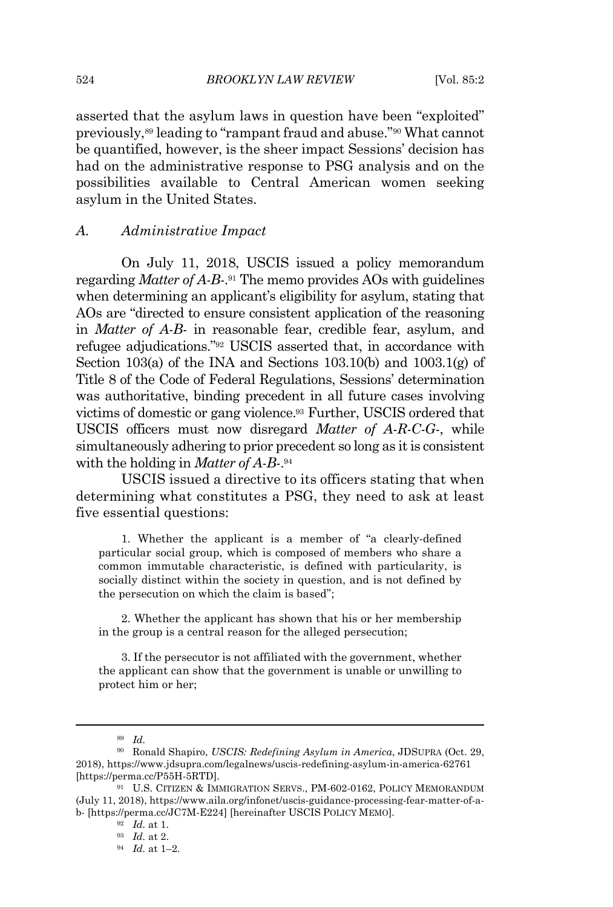asserted that the asylum laws in question have been "exploited" previously,<sup>89</sup> leading to "rampant fraud and abuse." <sup>90</sup> What cannot be quantified, however, is the sheer impact Sessions' decision has had on the administrative response to PSG analysis and on the possibilities available to Central American women seeking asylum in the United States.

#### *A. Administrative Impact*

On July 11, 2018, USCIS issued a policy memorandum regarding *Matter of A-B-*. <sup>91</sup> The memo provides AOs with guidelines when determining an applicant's eligibility for asylum, stating that AOs are "directed to ensure consistent application of the reasoning in *Matter of A-B-* in reasonable fear, credible fear, asylum, and refugee adjudications."<sup>92</sup> USCIS asserted that, in accordance with Section 103(a) of the INA and Sections 103.10(b) and  $1003.1(g)$  of Title 8 of the Code of Federal Regulations, Sessions' determination was authoritative, binding precedent in all future cases involving victims of domestic or gang violence.<sup>93</sup> Further, USCIS ordered that USCIS officers must now disregard *Matter of A-R-C-G-*, while simultaneously adhering to prior precedent so long as it is consistent with the holding in *Matter of A-B-*. 94

USCIS issued a directive to its officers stating that when determining what constitutes a PSG, they need to ask at least five essential questions:

1. Whether the applicant is a member of "a clearly-defined particular social group, which is composed of members who share a common immutable characteristic, is defined with particularity, is socially distinct within the society in question, and is not defined by the persecution on which the claim is based";

2. Whether the applicant has shown that his or her membership in the group is a central reason for the alleged persecution;

3. If the persecutor is not affiliated with the government, whether the applicant can show that the government is unable or unwilling to protect him or her;

<sup>89</sup> *Id.*

<sup>90</sup> Ronald Shapiro, *USCIS: Redefining Asylum in America*, JDSUPRA (Oct. 29, 2018), https://www.jdsupra.com/legalnews/uscis-redefining-asylum-in-america-62761 [https://perma.cc/P55H-5RTD].

<sup>91</sup> U.S. CITIZEN & IMMIGRATION SERVS., PM-602-0162, POLICY MEMORANDUM (July 11, 2018), https://www.aila.org/infonet/uscis-guidance-processing-fear-matter-of-ab- [https://perma.cc/JC7M-E224] [hereinafter USCIS POLICY MEMO].

<sup>92</sup> *Id.* at 1.

<sup>93</sup> *Id.* at 2.

<sup>94</sup> *Id.* at 1–2.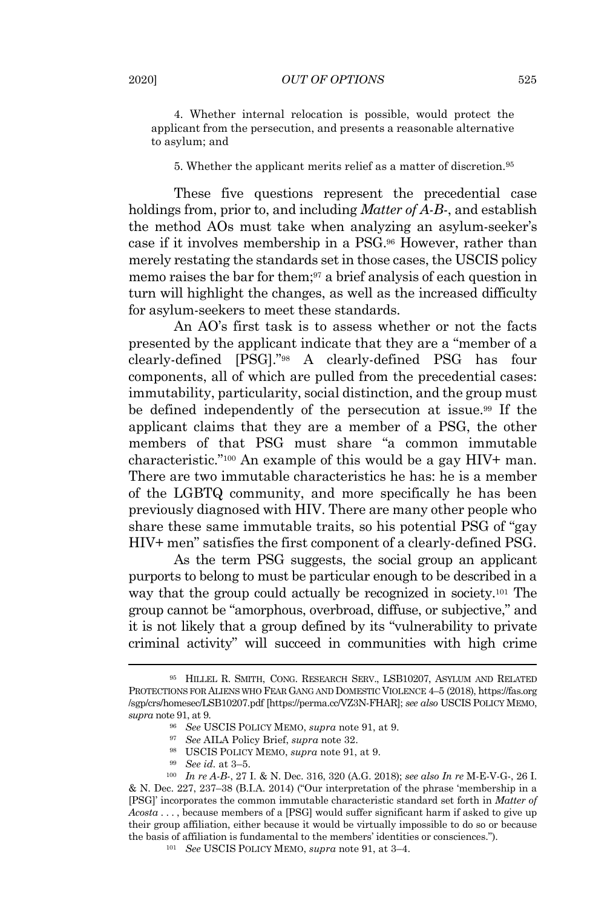4. Whether internal relocation is possible, would protect the applicant from the persecution, and presents a reasonable alternative to asylum; and

#### 5. Whether the applicant merits relief as a matter of discretion. 95

These five questions represent the precedential case holdings from, prior to, and including *Matter of A-B-*, and establish the method AOs must take when analyzing an asylum-seeker's case if it involves membership in a PSG.<sup>96</sup> However, rather than merely restating the standards setin those cases, the USCIS policy memo raises the bar for them;<sup>97</sup> a brief analysis of each question in turn will highlight the changes, as well as the increased difficulty for asylum-seekers to meet these standards.

An AO's first task is to assess whether or not the facts presented by the applicant indicate that they are a "member of a clearly-defined [PSG]."<sup>98</sup> A clearly-defined PSG has four components, all of which are pulled from the precedential cases: immutability, particularity, social distinction, and the group must be defined independently of the persecution at issue.<sup>99</sup> If the applicant claims that they are a member of a PSG, the other members of that PSG must share "a common immutable characteristic."<sup>100</sup> An example of this would be a gay HIV+ man. There are two immutable characteristics he has: he is a member of the LGBTQ community, and more specifically he has been previously diagnosed with HIV. There are many other people who share these same immutable traits, so his potential PSG of "gay HIV+ men" satisfies the first component of a clearly-defined PSG.

As the term PSG suggests, the social group an applicant purports to belong to must be particular enough to be described in a way that the group could actually be recognized in society.<sup>101</sup> The group cannot be "amorphous, overbroad, diffuse, or subjective," and it is not likely that a group defined by its "vulnerability to private criminal activity" will succeed in communities with high crime

<sup>95</sup> HILLEL R. SMITH, CONG. RESEARCH SERV., LSB10207, ASYLUM AND RELATED PROTECTIONS FOR ALIENS WHO FEAR GANG AND DOMESTIC VIOLENCE 4–5 (2018), https://fas.org /sgp/crs/homesec/LSB10207.pdf [https://perma.cc/VZ3N-FHAR]; *see also* USCIS POLICY MEMO, *supra* note 91, at 9.

<sup>96</sup> *See* USCIS POLICY MEMO, *supra* note 91, at 9.

<sup>97</sup> *See* AILA Policy Brief, *supra* note 32.

<sup>98</sup> USCIS POLICY MEMO, *supra* note 91, at 9.

<sup>99</sup> *See id.* at 3–5.

<sup>100</sup> *In re A-B-*, 27 I. & N. Dec. 316, 320 (A.G. 2018); *see also In re* M-E-V-G-, 26 I. & N. Dec. 227, 237–38 (B.I.A. 2014) ("Our interpretation of the phrase 'membership in a [PSG]' incorporates the common immutable characteristic standard set forth in *Matter of Acosta* . . . , because members of a [PSG] would suffer significant harm if asked to give up their group affiliation, either because it would be virtually impossible to do so or because the basis of affiliation is fundamental to the members' identities or consciences.").

<sup>101</sup> *See* USCIS POLICY MEMO, *supra* note 91, at 3–4.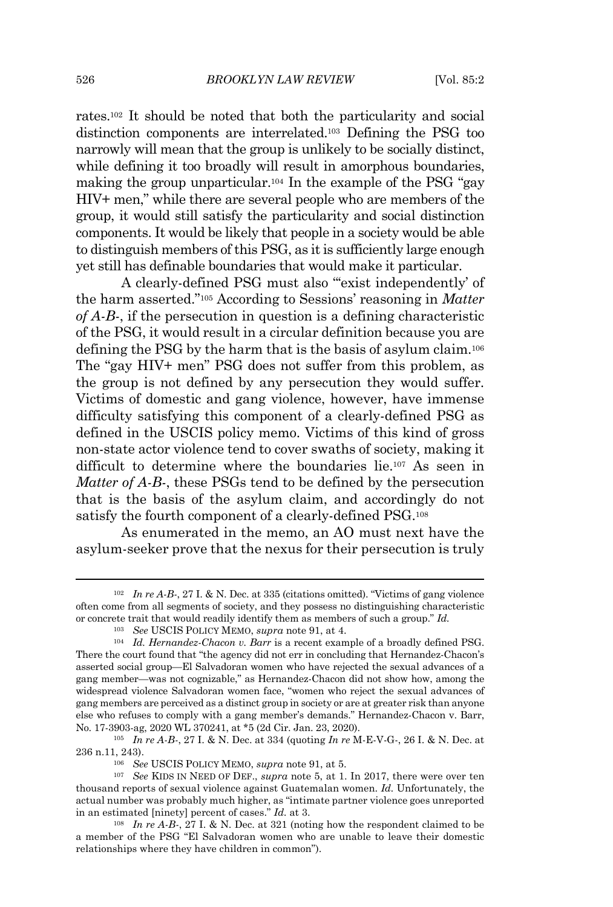rates.<sup>102</sup> It should be noted that both the particularity and social distinction components are interrelated.<sup>103</sup> Defining the PSG too narrowly will mean that the group is unlikely to be socially distinct, while defining it too broadly will result in amorphous boundaries, making the group unparticular.<sup>104</sup> In the example of the PSG "gay HIV+ men," while there are several people who are members of the group, it would still satisfy the particularity and social distinction components. It would be likely that people in a society would be able to distinguish members of this PSG, as it is sufficiently large enough yet still has definable boundaries that would make it particular.

A clearly-defined PSG must also "exist independently' of the harm asserted."<sup>105</sup> According to Sessions' reasoning in *Matter of A-B-*, if the persecution in question is a defining characteristic of the PSG, it would result in a circular definition because you are defining the PSG by the harm that is the basis of asylum claim. 106 The "gay HIV+ men" PSG does not suffer from this problem, as the group is not defined by any persecution they would suffer. Victims of domestic and gang violence, however, have immense difficulty satisfying this component of a clearly-defined PSG as defined in the USCIS policy memo. Victims of this kind of gross non-state actor violence tend to cover swaths of society, making it difficult to determine where the boundaries lie.<sup>107</sup> As seen in *Matter of A-B-*, these PSGs tend to be defined by the persecution that is the basis of the asylum claim, and accordingly do not satisfy the fourth component of a clearly-defined PSG.<sup>108</sup>

As enumerated in the memo, an AO must next have the asylum-seeker prove that the nexus for their persecution is truly

<sup>102</sup> *In re A-B-*, 27 I. & N. Dec. at 335 (citations omitted). "Victims of gang violence often come from all segments of society, and they possess no distinguishing characteristic or concrete trait that would readily identify them as members of such a group." *Id.*

<sup>103</sup> *See* USCIS POLICY MEMO, *supra* note 91, at 4.

<sup>104</sup> *Id. Hernandez-Chacon v. Barr* is a recent example of a broadly defined PSG. There the court found that "the agency did not err in concluding that Hernandez-Chacon's asserted social group—El Salvadoran women who have rejected the sexual advances of a gang member—was not cognizable," as Hernandez-Chacon did not show how, among the widespread violence Salvadoran women face, "women who reject the sexual advances of gang members are perceived as a distinct group in society or are at greater risk than anyone else who refuses to comply with a gang member's demands." Hernandez-Chacon v. Barr, No. 17-3903-ag, 2020 WL 370241, at \*5 (2d Cir. Jan. 23, 2020).

<sup>105</sup> *In re A-B-*, 27 I. & N. Dec. at 334 (quoting *In re* M-E-V-G-, 26 I. & N. Dec. at 236 n.11, 243).

<sup>106</sup> *See* USCIS POLICY MEMO, *supra* note 91, at 5.

<sup>107</sup> *See* KIDS IN NEED OF DEF., *supra* note 5, at 1. In 2017, there were over ten thousand reports of sexual violence against Guatemalan women. *Id.* Unfortunately, the actual number was probably much higher, as "intimate partner violence goes unreported in an estimated [ninety] percent of cases." *Id.* at 3.

<sup>108</sup> *In re A-B-*, 27 I. & N. Dec. at 321 (noting how the respondent claimed to be a member of the PSG "El Salvadoran women who are unable to leave their domestic relationships where they have children in common").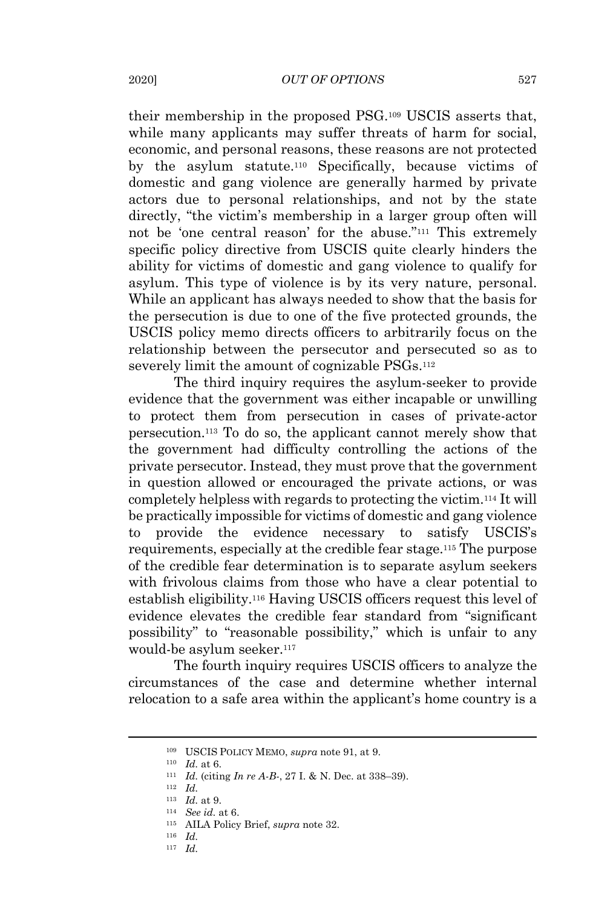their membership in the proposed PSG.<sup>109</sup> USCIS asserts that, while many applicants may suffer threats of harm for social, economic, and personal reasons, these reasons are not protected by the asylum statute.<sup>110</sup> Specifically, because victims of domestic and gang violence are generally harmed by private actors due to personal relationships, and not by the state directly, "the victim's membership in a larger group often will not be 'one central reason' for the abuse."<sup>111</sup> This extremely specific policy directive from USCIS quite clearly hinders the ability for victims of domestic and gang violence to qualify for asylum. This type of violence is by its very nature, personal. While an applicant has always needed to show that the basis for the persecution is due to one of the five protected grounds, the USCIS policy memo directs officers to arbitrarily focus on the relationship between the persecutor and persecuted so as to severely limit the amount of cognizable PSGs.<sup>112</sup>

The third inquiry requires the asylum-seeker to provide evidence that the government was either incapable or unwilling to protect them from persecution in cases of private-actor persecution. <sup>113</sup> To do so, the applicant cannot merely show that the government had difficulty controlling the actions of the private persecutor. Instead, they must prove that the government in question allowed or encouraged the private actions, or was completely helpless with regards to protecting the victim. <sup>114</sup> It will be practically impossible for victims of domestic and gang violence to provide the evidence necessary to satisfy USCIS's requirements, especially at the credible fear stage. <sup>115</sup> The purpose of the credible fear determination is to separate asylum seekers with frivolous claims from those who have a clear potential to establish eligibility.<sup>116</sup> Having USCIS officers request this level of evidence elevates the credible fear standard from "significant possibility" to "reasonable possibility," which is unfair to any would-be asylum seeker. 117

The fourth inquiry requires USCIS officers to analyze the circumstances of the case and determine whether internal relocation to a safe area within the applicant's home country is a

<sup>110</sup> *Id.* at 6.

<sup>109</sup> USCIS POLICY MEMO, *supra* note 91, at 9.

<sup>111</sup> *Id.* (citing *In re A-B-*, 27 I. & N. Dec. at 338–39).

<sup>112</sup> *Id.*

<sup>113</sup> *Id.* at 9.

<sup>114</sup> *See id.* at 6.

<sup>115</sup> AILA Policy Brief, *supra* note 32.

<sup>116</sup> *Id.*

<sup>117</sup> *Id.*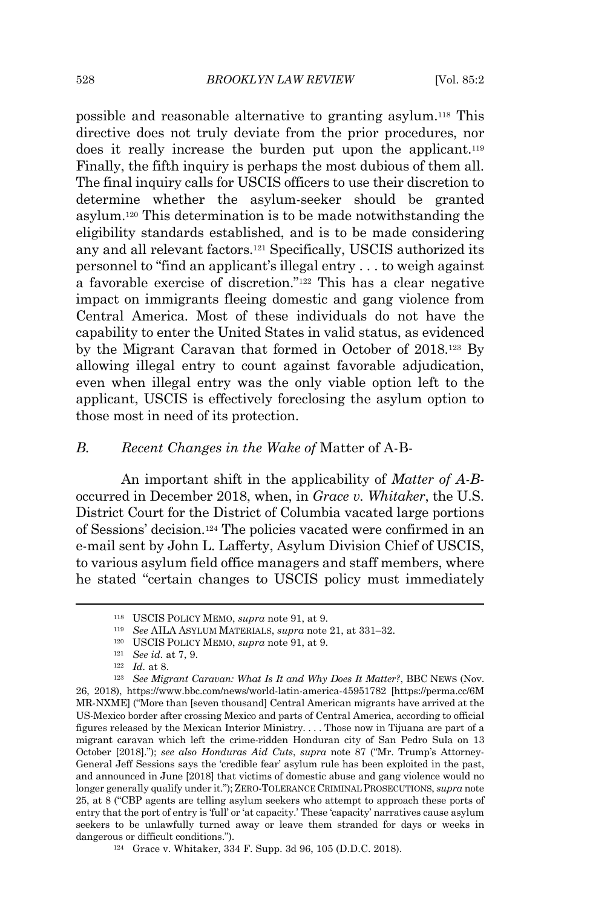possible and reasonable alternative to granting asylum.<sup>118</sup> This directive does not truly deviate from the prior procedures, nor does it really increase the burden put upon the applicant.<sup>119</sup> Finally, the fifth inquiry is perhaps the most dubious of them all. The final inquiry calls for USCIS officers to use their discretion to determine whether the asylum-seeker should be granted asylum.<sup>120</sup> This determination is to be made notwithstanding the eligibility standards established, and is to be made considering any and all relevant factors.<sup>121</sup> Specifically, USCIS authorized its personnel to "find an applicant's illegal entry . . . to weigh against a favorable exercise of discretion."<sup>122</sup> This has a clear negative impact on immigrants fleeing domestic and gang violence from Central America. Most of these individuals do not have the capability to enter the United States in valid status, as evidenced by the Migrant Caravan that formed in October of 2018.<sup>123</sup> By allowing illegal entry to count against favorable adjudication, even when illegal entry was the only viable option left to the applicant, USCIS is effectively foreclosing the asylum option to those most in need of its protection.

#### *B. Recent Changes in the Wake of* Matter of A-B-

An important shift in the applicability of *Matter of A-B*occurred in December 2018, when, in *Grace v. Whitaker*, the U.S. District Court for the District of Columbia vacated large portions of Sessions' decision.<sup>124</sup> The policies vacated were confirmed in an e-mail sent by John L. Lafferty, Asylum Division Chief of USCIS, to various asylum field office managers and staff members, where he stated "certain changes to USCIS policy must immediately

<sup>118</sup> USCIS POLICY MEMO, *supra* note 91, at 9.

<sup>119</sup> *See* AILA ASYLUM MATERIALS, *supra* note 21, at 331–32.

<sup>120</sup> USCIS POLICY MEMO, *supra* note 91, at 9.

<sup>121</sup> *See id.* at 7, 9.

<sup>122</sup> *Id.* at 8.

<sup>123</sup> *See Migrant Caravan: What Is It and Why Does It Matter?*, BBC NEWS (Nov. 26, 2018), https://www.bbc.com/news/world-latin-america-45951782 [https://perma.cc/6M MR-NXME] ("More than [seven thousand] Central American migrants have arrived at the US-Mexico border after crossing Mexico and parts of Central America, according to official figures released by the Mexican Interior Ministry. . . . Those now in Tijuana are part of a migrant caravan which left the crime-ridden Honduran city of San Pedro Sula on 13 October [2018]."); *see also Honduras Aid Cuts*, *supra* note 87 ("Mr. Trump's Attorney-General Jeff Sessions says the 'credible fear' asylum rule has been exploited in the past, and announced in June [2018] that victims of domestic abuse and gang violence would no longer generally qualify under it."); ZERO-TOLERANCE CRIMINAL PROSECUTIONS, *supra* note 25, at 8 ("CBP agents are telling asylum seekers who attempt to approach these ports of entry that the port of entry is 'full' or 'at capacity.' These 'capacity' narratives cause asylum seekers to be unlawfully turned away or leave them stranded for days or weeks in dangerous or difficult conditions.").

<sup>124</sup> Grace v. Whitaker, 334 F. Supp. 3d 96, 105 (D.D.C. 2018).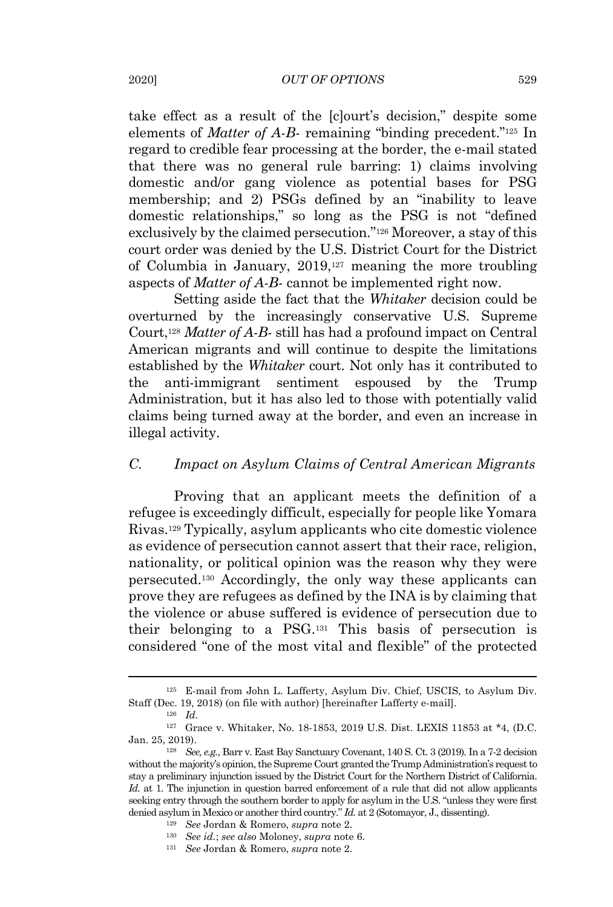take effect as a result of the [c]ourt's decision," despite some elements of *Matter of A-B-* remaining "binding precedent."<sup>125</sup> In regard to credible fear processing at the border, the e-mail stated that there was no general rule barring: 1) claims involving domestic and/or gang violence as potential bases for PSG membership; and 2) PSGs defined by an "inability to leave domestic relationships," so long as the PSG is not "defined exclusively by the claimed persecution."<sup>126</sup> Moreover, a stay of this court order was denied by the U.S. District Court for the District of Columbia in January, 2019,<sup>127</sup> meaning the more troubling aspects of *Matter of A-B-* cannot be implemented right now.

Setting aside the fact that the *Whitaker* decision could be overturned by the increasingly conservative U.S. Supreme Court,<sup>128</sup> *Matter of A-B-* still has had a profound impact on Central American migrants and will continue to despite the limitations established by the *Whitaker* court. Not only has it contributed to the anti-immigrant sentiment espoused by the Trump Administration, but it has also led to those with potentially valid claims being turned away at the border, and even an increase in illegal activity.

## *C. Impact on Asylum Claims of Central American Migrants*

Proving that an applicant meets the definition of a refugee is exceedingly difficult, especially for people like Yomara Rivas.<sup>129</sup> Typically, asylum applicants who cite domestic violence as evidence of persecution cannot assert that their race, religion, nationality, or political opinion was the reason why they were persecuted.<sup>130</sup> Accordingly, the only way these applicants can prove they are refugees as defined by the INA is by claiming that the violence or abuse suffered is evidence of persecution due to their belonging to a PSG.<sup>131</sup> This basis of persecution is considered "one of the most vital and flexible" of the protected

<sup>125</sup> E-mail from John L. Lafferty, Asylum Div. Chief, USCIS, to Asylum Div. Staff (Dec. 19, 2018) (on file with author) [hereinafter Lafferty e-mail].

<sup>126</sup> *Id.*

<sup>127</sup> Grace v. Whitaker, No. 18-1853, 2019 U.S. Dist. LEXIS 11853 at \*4, (D.C. Jan. 25, 2019).

<sup>128</sup> *See, e.g.*, Barr v. East Bay Sanctuary Covenant, 140 S. Ct. 3 (2019). In a 7-2 decision without the majority's opinion, the Supreme Court granted the Trump Administration's request to stay a preliminary injunction issued by the District Court for the Northern District of California. *Id.* at 1. The injunction in question barred enforcement of a rule that did not allow applicants seeking entry through the southern border to apply for asylum in the U.S. "unless they were first denied asylum in Mexico or another third country." *Id.* at 2 (Sotomayor, J., dissenting).

<sup>129</sup> *See* Jordan & Romero, *supra* note 2.

<sup>130</sup> *See id.*; *see also* Moloney, *supra* note 6.

<sup>131</sup> *See* Jordan & Romero, *supra* note 2.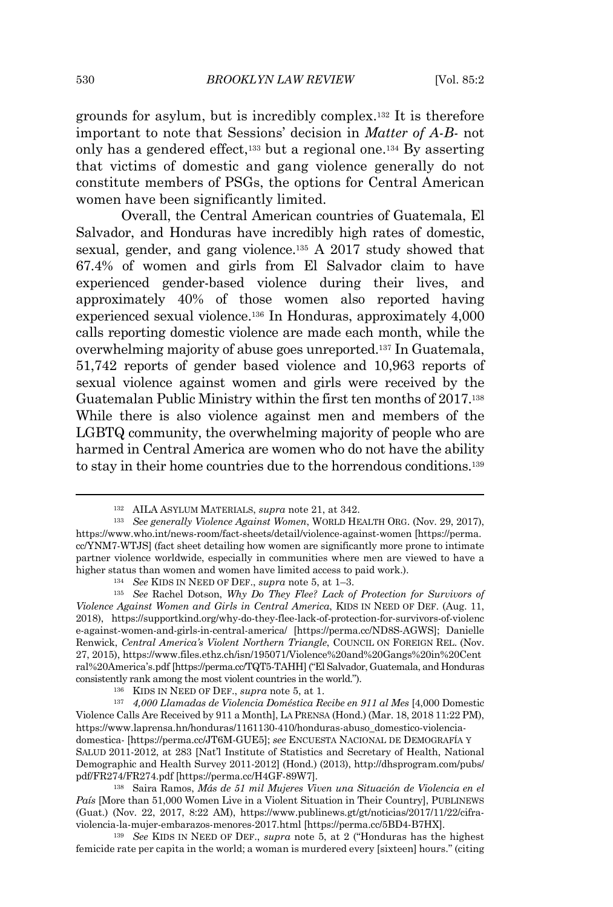grounds for asylum, but is incredibly complex.<sup>132</sup> It is therefore important to note that Sessions' decision in *Matter of A-B-* not only has a gendered effect,<sup>133</sup> but a regional one.<sup>134</sup> By asserting that victims of domestic and gang violence generally do not constitute members of PSGs, the options for Central American women have been significantly limited.

Overall, the Central American countries of Guatemala, El Salvador, and Honduras have incredibly high rates of domestic, sexual, gender, and gang violence. <sup>135</sup> A 2017 study showed that 67.4% of women and girls from El Salvador claim to have experienced gender-based violence during their lives, and approximately 40% of those women also reported having experienced sexual violence.<sup>136</sup> In Honduras, approximately 4,000 calls reporting domestic violence are made each month, while the overwhelming majority of abuse goes unreported. <sup>137</sup> In Guatemala, 51,742 reports of gender based violence and 10,963 reports of sexual violence against women and girls were received by the Guatemalan Public Ministry within the first ten months of 2017. 138 While there is also violence against men and members of the LGBTQ community, the overwhelming majority of people who are harmed in Central America are women who do not have the ability to stay in their home countries due to the horrendous conditions.<sup>139</sup>

<sup>132</sup> AILA ASYLUM MATERIALS, *supra* note 21, at 342.

<sup>133</sup> *See generally Violence Against Women*, WORLD HEALTH ORG. (Nov. 29, 2017), https://www.who.int/news-room/fact-sheets/detail/violence-against-women [https://perma. cc/YNM7-WTJS] (fact sheet detailing how women are significantly more prone to intimate partner violence worldwide, especially in communities where men are viewed to have a higher status than women and women have limited access to paid work.).

<sup>134</sup> *See* KIDS IN NEED OF DEF., *supra* note 5, at 1–3.

<sup>135</sup> *See* Rachel Dotson, *Why Do They Flee? Lack of Protection for Survivors of Violence Against Women and Girls in Central America*, KIDS IN NEED OF DEF. (Aug. 11, 2018), https://supportkind.org/why-do-they-flee-lack-of-protection-for-survivors-of-violenc e-against-women-and-girls-in-central-america/ [https://perma.cc/ND8S-AGWS]; Danielle Renwick, *Central America's Violent Northern Triangle*, COUNCIL ON FOREIGN REL. (Nov. 27, 2015), https://www.files.ethz.ch/isn/195071/Violence%20and%20Gangs%20in%20Cent ral%20America's.pdf [https://perma.cc/TQT5-TAHH]("El Salvador, Guatemala, and Honduras consistently rank among the most violent countries in the world.").

<sup>136</sup> KIDS IN NEED OF DEF., *supra* note 5, at 1.

<sup>137</sup> *4,000 Llamadas de Violencia Doméstica Recibe en 911 al Mes* [4,000 Domestic Violence Calls Are Received by 911 a Month], LA PRENSA (Hond.) (Mar. 18, 2018 11:22 PM), https://www.laprensa.hn/honduras/1161130-410/honduras-abuso\_domestico-violenciadomestica- [https://perma.cc/JT6M-GUE5]; *see* ENCUESTA NACIONAL DE DEMOGRAFÍA Y SALUD 2011-2012, at 283 [Nat'l Institute of Statistics and Secretary of Health, National Demographic and Health Survey 2011-2012] (Hond.) (2013), http://dhsprogram.com/pubs/ pdf/FR274/FR274.pdf [https://perma.cc/H4GF-89W7].

<sup>138</sup> Saira Ramos, *Más de 51 mil Mujeres Viven una Situación de Violencia en el País* [More than 51,000 Women Live in a Violent Situation in Their Country], PUBLINEWS (Guat.) (Nov. 22, 2017, 8:22 AM), https://www.publinews.gt/gt/noticias/2017/11/22/cifraviolencia-la-mujer-embarazos-menores-2017.html [https://perma.cc/5BD4-B7HX].

<sup>139</sup> *See* KIDS IN NEED OF DEF., *supra* note 5, at 2 ("Honduras has the highest femicide rate per capita in the world; a woman is murdered every [sixteen] hours." (citing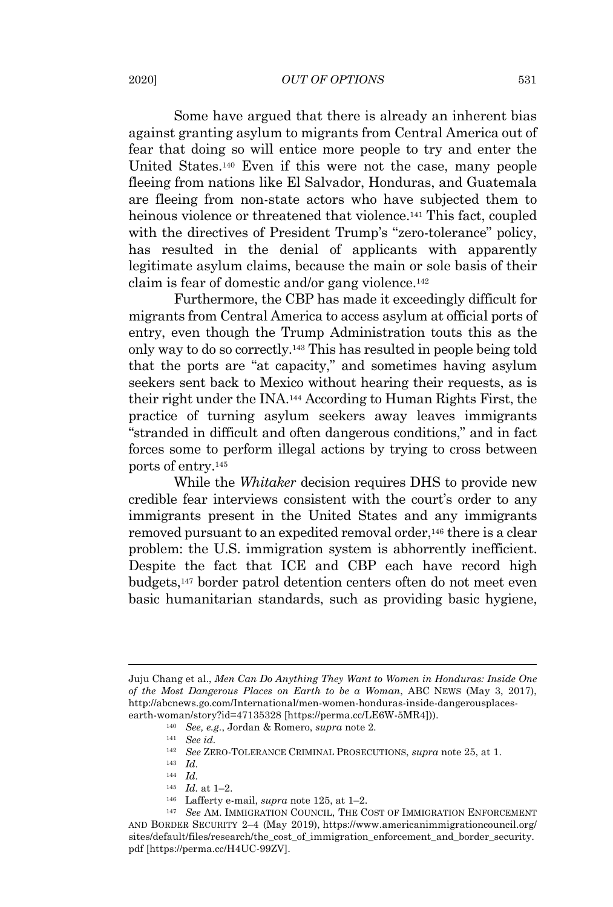#### 2020] *OUT OF OPTIONS* 531

Some have argued that there is already an inherent bias against granting asylum to migrants from Central America out of fear that doing so will entice more people to try and enter the United States.<sup>140</sup> Even if this were not the case, many people fleeing from nations like El Salvador, Honduras, and Guatemala are fleeing from non-state actors who have subjected them to heinous violence or threatened that violence.<sup>141</sup> This fact, coupled with the directives of President Trump's "zero-tolerance" policy, has resulted in the denial of applicants with apparently legitimate asylum claims, because the main or sole basis of their claim is fear of domestic and/or gang violence.<sup>142</sup>

Furthermore, the CBP has made it exceedingly difficult for migrants from Central America to access asylum at official ports of entry, even though the Trump Administration touts this as the only way to do so correctly. <sup>143</sup> This has resulted in people being told that the ports are "at capacity," and sometimes having asylum seekers sent back to Mexico without hearing their requests, as is their right under the INA.<sup>144</sup> According to Human Rights First, the practice of turning asylum seekers away leaves immigrants "stranded in difficult and often dangerous conditions," and in fact forces some to perform illegal actions by trying to cross between ports of entry.<sup>145</sup>

While the *Whitaker* decision requires DHS to provide new credible fear interviews consistent with the court's order to any immigrants present in the United States and any immigrants removed pursuant to an expedited removal order, <sup>146</sup> there is a clear problem: the U.S. immigration system is abhorrently inefficient. Despite the fact that ICE and CBP each have record high budgets,<sup>147</sup> border patrol detention centers often do not meet even basic humanitarian standards, such as providing basic hygiene,

- <sup>145</sup> *Id.* at 1–2.
- <sup>146</sup> Lafferty e-mail, *supra* note 125, at 1–2.

Juju Chang et al., *Men Can Do Anything They Want to Women in Honduras: Inside One of the Most Dangerous Places on Earth to be a Woman*, ABC NEWS (May 3, 2017), http://abcnews.go.com/International/men-women-honduras-inside-dangerousplacesearth-woman/story?id=47135328 [https://perma.cc/LE6W-5MR4])).

<sup>140</sup> *See, e.g.*, Jordan & Romero, *supra* note 2.

<sup>141</sup> *See id.*

<sup>142</sup> *See* ZERO-TOLERANCE CRIMINAL PROSECUTIONS, *supra* note 25, at 1.

<sup>143</sup> *Id.*

<sup>144</sup> *Id.*

<sup>147</sup> *See* AM. IMMIGRATION COUNCIL, THE COST OF IMMIGRATION ENFORCEMENT AND BORDER SECURITY 2–4 (May 2019), https://www.americanimmigrationcouncil.org/ sites/default/files/research/the\_cost\_of\_immigration\_enforcement\_and\_border\_security. pdf [https://perma.cc/H4UC-99ZV].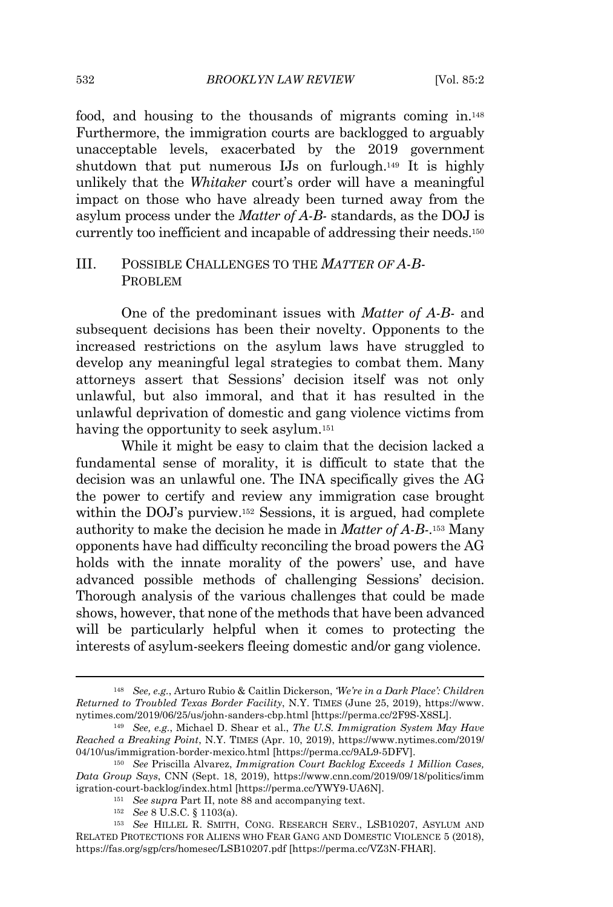#### 532 *BROOKLYN LAW REVIEW* [Vol. 85:2

food, and housing to the thousands of migrants coming in.<sup>148</sup> Furthermore, the immigration courts are backlogged to arguably unacceptable levels, exacerbated by the 2019 government shutdown that put numerous IJs on furlough.<sup>149</sup> It is highly unlikely that the *Whitaker* court's order will have a meaningful impact on those who have already been turned away from the asylum process under the *Matter of A-B-* standards, as the DOJ is currently too inefficient and incapable of addressing their needs. 150

### III. POSSIBLE CHALLENGES TO THE *MATTER OF A-B-*PROBLEM

One of the predominant issues with *Matter of A-B-* and subsequent decisions has been their novelty. Opponents to the increased restrictions on the asylum laws have struggled to develop any meaningful legal strategies to combat them. Many attorneys assert that Sessions' decision itself was not only unlawful, but also immoral, and that it has resulted in the unlawful deprivation of domestic and gang violence victims from having the opportunity to seek asylum.<sup>151</sup>

While it might be easy to claim that the decision lacked a fundamental sense of morality, it is difficult to state that the decision was an unlawful one. The INA specifically gives the AG the power to certify and review any immigration case brought within the DOJ's purview.<sup>152</sup> Sessions, it is argued, had complete authority to make the decision he made in *Matter of A-B-*. <sup>153</sup> Many opponents have had difficulty reconciling the broad powers the AG holds with the innate morality of the powers' use, and have advanced possible methods of challenging Sessions' decision. Thorough analysis of the various challenges that could be made shows, however, that none of the methods that have been advanced will be particularly helpful when it comes to protecting the interests of asylum-seekers fleeing domestic and/or gang violence.

<sup>148</sup> *See, e.g.*, Arturo Rubio & Caitlin Dickerson, *'We're in a Dark Place': Children Returned to Troubled Texas Border Facility*, N.Y. TIMES (June 25, 2019), https://www. nytimes.com/2019/06/25/us/john-sanders-cbp.html [https://perma.cc/2F9S-X8SL].

<sup>149</sup> *See, e.g.*, Michael D. Shear et al., *The U.S. Immigration System May Have Reached a Breaking Point*, N.Y. TIMES (Apr. 10, 2019), https://www.nytimes.com/2019/ 04/10/us/immigration-border-mexico.html [https://perma.cc/9AL9-5DFV].

<sup>150</sup> *See* Priscilla Alvarez, *Immigration Court Backlog Exceeds 1 Million Cases, Data Group Says*, CNN (Sept. 18, 2019), https://www.cnn.com/2019/09/18/politics/imm igration-court-backlog/index.html [https://perma.cc/YWY9-UA6N].

<sup>151</sup> *See supra* Part II, note 88 and accompanying text.

<sup>152</sup> *See* 8 U.S.C. § 1103(a).

<sup>153</sup> *See* HILLEL R. SMITH, CONG. RESEARCH SERV., LSB10207, ASYLUM AND RELATED PROTECTIONS FOR ALIENS WHO FEAR GANG AND DOMESTIC VIOLENCE 5 (2018), https://fas.org/sgp/crs/homesec/LSB10207.pdf [https://perma.cc/VZ3N-FHAR].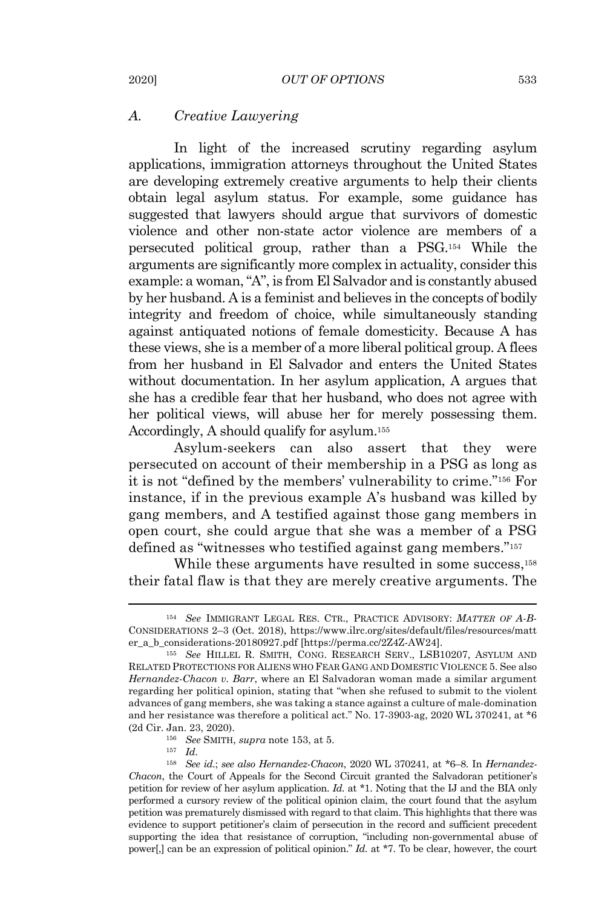#### *A. Creative Lawyering*

In light of the increased scrutiny regarding asylum applications, immigration attorneys throughout the United States are developing extremely creative arguments to help their clients obtain legal asylum status. For example, some guidance has suggested that lawyers should argue that survivors of domestic violence and other non-state actor violence are members of a persecuted political group, rather than a PSG.<sup>154</sup> While the arguments are significantly more complex in actuality, consider this example: a woman, "A", is from El Salvador and is constantly abused by her husband. A is a feminist and believes in the concepts of bodily integrity and freedom of choice, while simultaneously standing against antiquated notions of female domesticity. Because A has these views, she is a member of a more liberal political group. A flees from her husband in El Salvador and enters the United States without documentation. In her asylum application, A argues that she has a credible fear that her husband, who does not agree with her political views, will abuse her for merely possessing them. Accordingly, A should qualify for asylum.<sup>155</sup>

Asylum-seekers can also assert that they were persecuted on account of their membership in a PSG as long as it is not "defined by the members' vulnerability to crime." <sup>156</sup> For instance, if in the previous example A's husband was killed by gang members, and A testified against those gang members in open court, she could argue that she was a member of a PSG defined as "witnesses who testified against gang members."<sup>157</sup>

While these arguments have resulted in some success,<sup>158</sup> their fatal flaw is that they are merely creative arguments. The

<sup>154</sup> *See* IMMIGRANT LEGAL RES. CTR., PRACTICE ADVISORY: *MATTER OF A-B-*CONSIDERATIONS 2–3 (Oct. 2018), https://www.ilrc.org/sites/default/files/resources/matt er\_a\_b\_considerations-20180927.pdf [https://perma.cc/2Z4Z-AW24].

<sup>155</sup> *See* HILLEL R. SMITH, CONG. RESEARCH SERV., LSB10207, ASYLUM AND RELATED PROTECTIONS FOR ALIENS WHO FEAR GANG AND DOMESTIC VIOLENCE 5. See also *Hernandez-Chacon v. Barr*, where an El Salvadoran woman made a similar argument regarding her political opinion, stating that "when she refused to submit to the violent advances of gang members, she was taking a stance against a culture of male-domination and her resistance was therefore a political act." No. 17-3903-ag, 2020 WL 370241, at \*6 (2d Cir. Jan. 23, 2020).

<sup>156</sup> *See* SMITH, *supra* note 153, at 5.

<sup>157</sup> *Id.*

<sup>158</sup> *See id.*; *see also Hernandez-Chacon*, 2020 WL 370241, at \*6–8. In *Hernandez-Chacon*, the Court of Appeals for the Second Circuit granted the Salvadoran petitioner's petition for review of her asylum application. *Id.* at \*1. Noting that the IJ and the BIA only performed a cursory review of the political opinion claim, the court found that the asylum petition was prematurely dismissed with regard to that claim. This highlights that there was evidence to support petitioner's claim of persecution in the record and sufficient precedent supporting the idea that resistance of corruption, "including non-governmental abuse of power[,] can be an expression of political opinion." *Id.* at \*7. To be clear, however, the court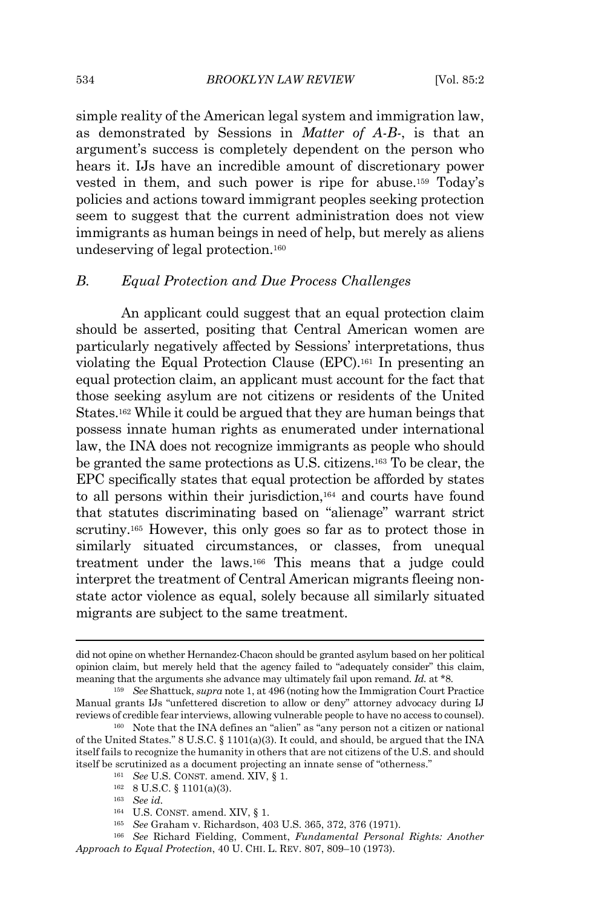simple reality of the American legal system and immigration law, as demonstrated by Sessions in *Matter of A-B-*, is that an argument's success is completely dependent on the person who hears it. IJs have an incredible amount of discretionary power vested in them, and such power is ripe for abuse.<sup>159</sup> Today's policies and actions toward immigrant peoples seeking protection seem to suggest that the current administration does not view immigrants as human beings in need of help, but merely as aliens undeserving of legal protection.<sup>160</sup>

# *B. Equal Protection and Due Process Challenges*

An applicant could suggest that an equal protection claim should be asserted, positing that Central American women are particularly negatively affected by Sessions' interpretations, thus violating the Equal Protection Clause (EPC).<sup>161</sup> In presenting an equal protection claim, an applicant must account for the fact that those seeking asylum are not citizens or residents of the United States.<sup>162</sup> While it could be argued that they are human beings that possess innate human rights as enumerated under international law, the INA does not recognize immigrants as people who should be granted the same protections as U.S. citizens.<sup>163</sup> To be clear, the EPC specifically states that equal protection be afforded by states to all persons within their jurisdiction,<sup>164</sup> and courts have found that statutes discriminating based on "alienage" warrant strict scrutiny.<sup>165</sup> However, this only goes so far as to protect those in similarly situated circumstances, or classes, from unequal treatment under the laws. <sup>166</sup> This means that a judge could interpret the treatment of Central American migrants fleeing nonstate actor violence as equal, solely because all similarly situated migrants are subject to the same treatment.

did not opine on whether Hernandez-Chacon should be granted asylum based on her political opinion claim, but merely held that the agency failed to "adequately consider" this claim, meaning that the arguments she advance may ultimately fail upon remand. *Id.* at \*8.

<sup>159</sup> *See* Shattuck, *supra* note 1, at 496 (noting how the Immigration Court Practice Manual grants IJs "unfettered discretion to allow or deny" attorney advocacy during IJ reviews of credible fear interviews, allowing vulnerable people to have no access to counsel).

<sup>160</sup> Note that the INA defines an "alien" as "any person not a citizen or national of the United States."  $8 \text{ U.S.C.} \$   $1101(a)(3)$ . It could, and should, be argued that the INA itself fails to recognize the humanity in others that are not citizens of the U.S. and should itself be scrutinized as a document projecting an innate sense of "otherness."

<sup>161</sup> *See* U.S. CONST. amend. XIV, § 1.

<sup>162</sup> 8 U.S.C. § 1101(a)(3).

<sup>163</sup> *See id.*

<sup>164</sup> U.S. CONST. amend. XIV, § 1.

<sup>165</sup> *See* Graham v. Richardson, 403 U.S. 365, 372, 376 (1971).

<sup>166</sup> *See* Richard Fielding, Comment, *Fundamental Personal Rights: Another Approach to Equal Protection*, 40 U. CHI. L. REV. 807, 809–10 (1973).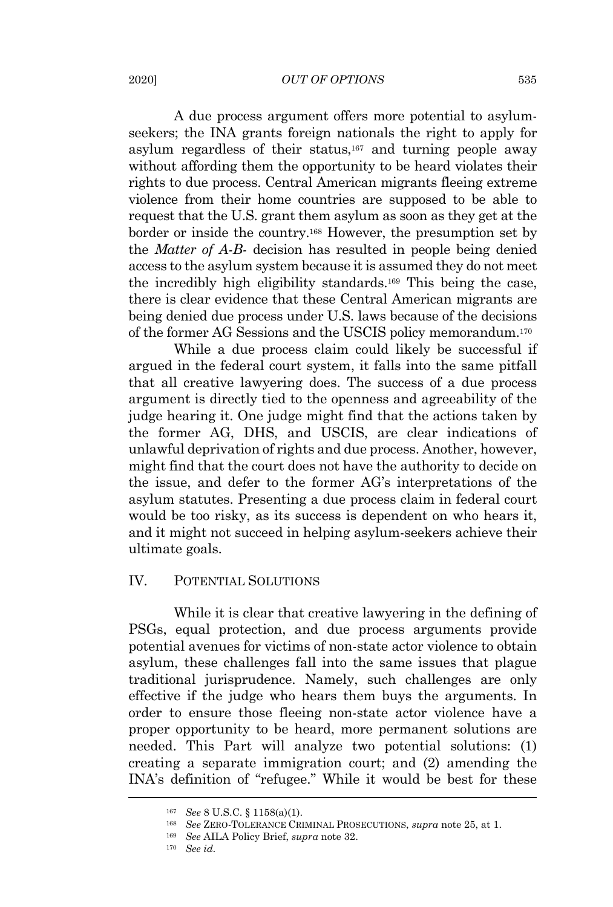#### 2020] *OUT OF OPTIONS* 535

A due process argument offers more potential to asylumseekers; the INA grants foreign nationals the right to apply for asylum regardless of their status, <sup>167</sup> and turning people away without affording them the opportunity to be heard violates their rights to due process. Central American migrants fleeing extreme violence from their home countries are supposed to be able to request that the U.S. grant them asylum as soon as they get at the border or inside the country.<sup>168</sup> However, the presumption set by the *Matter of A-B-* decision has resulted in people being denied access to the asylum system because it is assumed they do not meet the incredibly high eligibility standards.<sup>169</sup> This being the case, there is clear evidence that these Central American migrants are being denied due process under U.S. laws because of the decisions of the former AG Sessions and the USCIS policy memorandum. 170

While a due process claim could likely be successful if argued in the federal court system, it falls into the same pitfall that all creative lawyering does. The success of a due process argument is directly tied to the openness and agreeability of the judge hearing it. One judge might find that the actions taken by the former AG, DHS, and USCIS, are clear indications of unlawful deprivation of rights and due process. Another, however, might find that the court does not have the authority to decide on the issue, and defer to the former AG's interpretations of the asylum statutes. Presenting a due process claim in federal court would be too risky, as its success is dependent on who hears it, and it might not succeed in helping asylum-seekers achieve their ultimate goals.

## IV*.* POTENTIAL SOLUTIONS

While it is clear that creative lawyering in the defining of PSGs, equal protection, and due process arguments provide potential avenues for victims of non-state actor violence to obtain asylum, these challenges fall into the same issues that plague traditional jurisprudence. Namely, such challenges are only effective if the judge who hears them buys the arguments. In order to ensure those fleeing non-state actor violence have a proper opportunity to be heard, more permanent solutions are needed. This Part will analyze two potential solutions: (1) creating a separate immigration court; and (2) amending the INA's definition of "refugee." While it would be best for these

<sup>167</sup> *See* 8 U.S.C. § 1158(a)(1).

<sup>168</sup> *See* ZERO-TOLERANCE CRIMINAL PROSECUTIONS, *supra* note 25, at 1.

<sup>169</sup> *See* AILA Policy Brief, *supra* note 32.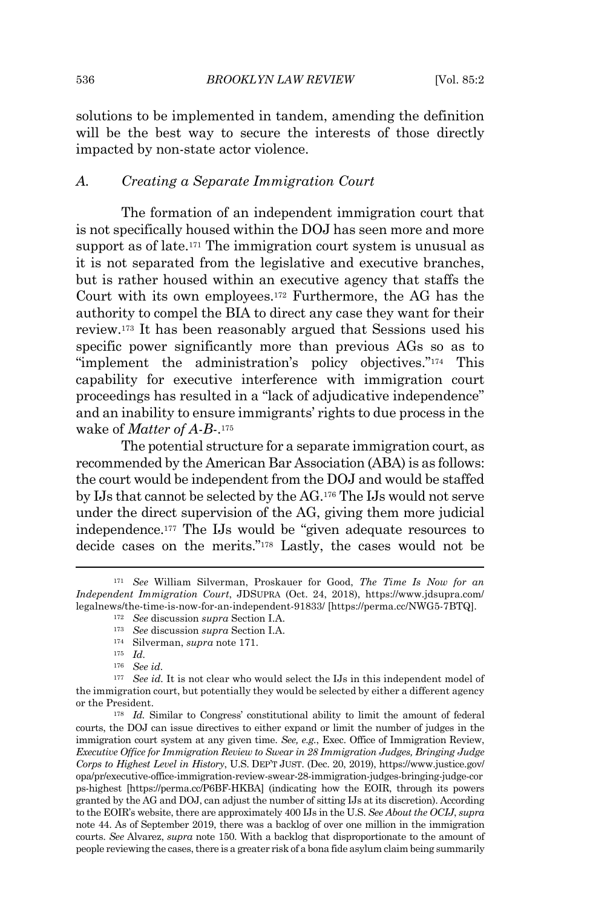solutions to be implemented in tandem, amending the definition will be the best way to secure the interests of those directly impacted by non-state actor violence.

#### *A. Creating a Separate Immigration Court*

The formation of an independent immigration court that is not specifically housed within the DOJ has seen more and more support as of late. <sup>171</sup> The immigration court system is unusual as it is not separated from the legislative and executive branches, but is rather housed within an executive agency that staffs the Court with its own employees.<sup>172</sup> Furthermore, the AG has the authority to compel the BIA to direct any case they want for their review.<sup>173</sup> It has been reasonably argued that Sessions used his specific power significantly more than previous AGs so as to "implement the administration's policy objectives."<sup>174</sup> This capability for executive interference with immigration court proceedings has resulted in a "lack of adjudicative independence" and an inability to ensure immigrants' rights to due process in the wake of *Matter of A-B-*. 175

The potential structure for a separate immigration court, as recommended by the American Bar Association (ABA) is as follows: the court would be independent from the DOJ and would be staffed by IJs that cannot be selected by the AG.<sup>176</sup> The IJs would not serve under the direct supervision of the AG, giving them more judicial independence.<sup>177</sup> The IJs would be "given adequate resources to decide cases on the merits." <sup>178</sup> Lastly, the cases would not be

<sup>171</sup> *See* William Silverman, Proskauer for Good, *The Time Is Now for an Independent Immigration Court*, JDSUPRA (Oct. 24, 2018), https://www.jdsupra.com/ legalnews/the-time-is-now-for-an-independent-91833/ [https://perma.cc/NWG5-7BTQ].

<sup>172</sup> *See* discussion *supra* Section I.A.

<sup>173</sup> *See* discussion *supra* Section I.A.

<sup>174</sup> Silverman, *supra* note 171.

<sup>175</sup> *Id.*

<sup>176</sup> *See id.*

<sup>177</sup> *See id.* It is not clear who would select the IJs in this independent model of the immigration court, but potentially they would be selected by either a different agency or the President.

<sup>&</sup>lt;sup>178</sup> *Id.* Similar to Congress' constitutional ability to limit the amount of federal courts, the DOJ can issue directives to either expand or limit the number of judges in the immigration court system at any given time. *See, e.g.*, Exec. Office of Immigration Review, *Executive Office for Immigration Review to Swear in 28 Immigration Judges, Bringing Judge Corps to Highest Level in History*, U.S. DEP'T JUST. (Dec. 20, 2019), https://www.justice.gov/ opa/pr/executive-office-immigration-review-swear-28-immigration-judges-bringing-judge-cor ps-highest [https://perma.cc/P6BF-HKBA] (indicating how the EOIR, through its powers granted by the AG and DOJ, can adjust the number of sitting IJs at its discretion). According to the EOIR's website, there are approximately 400 IJs in the U.S. *See About the OCIJ*, *supra* note 44. As of September 2019, there was a backlog of over one million in the immigration courts. *See* Alvarez, *supra* note 150. With a backlog that disproportionate to the amount of people reviewing the cases, there is a greater risk of a bona fide asylum claim being summarily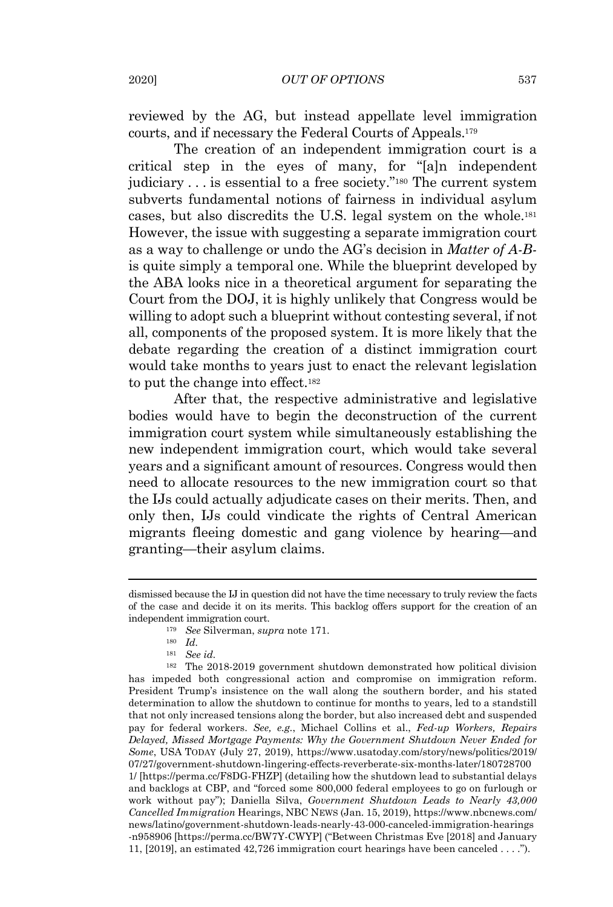reviewed by the AG, but instead appellate level immigration courts, and if necessary the Federal Courts of Appeals.<sup>179</sup>

The creation of an independent immigration court is a critical step in the eyes of many, for "[a]n independent judiciary . . . is essential to a free society." <sup>180</sup> The current system subverts fundamental notions of fairness in individual asylum cases, but also discredits the U.S. legal system on the whole.<sup>181</sup> However, the issue with suggesting a separate immigration court as a way to challenge or undo the AG's decision in *Matter of A-B*is quite simply a temporal one. While the blueprint developed by the ABA looks nice in a theoretical argument for separating the Court from the DOJ, it is highly unlikely that Congress would be willing to adopt such a blueprint without contesting several, if not all, components of the proposed system. It is more likely that the debate regarding the creation of a distinct immigration court would take months to years just to enact the relevant legislation to put the change into effect.<sup>182</sup>

After that, the respective administrative and legislative bodies would have to begin the deconstruction of the current immigration court system while simultaneously establishing the new independent immigration court, which would take several years and a significant amount of resources. Congress would then need to allocate resources to the new immigration court so that the IJs could actually adjudicate cases on their merits. Then, and only then, IJs could vindicate the rights of Central American migrants fleeing domestic and gang violence by hearing—and granting—their asylum claims.

dismissed because the IJ in question did not have the time necessary to truly review the facts of the case and decide it on its merits. This backlog offers support for the creation of an independent immigration court.

<sup>179</sup> *See* Silverman, *supra* note 171.

<sup>180</sup> *Id.*

<sup>181</sup> *See id.*

<sup>182</sup> The 2018-2019 government shutdown demonstrated how political division has impeded both congressional action and compromise on immigration reform. President Trump's insistence on the wall along the southern border, and his stated determination to allow the shutdown to continue for months to years, led to a standstill that not only increased tensions along the border, but also increased debt and suspended pay for federal workers. *See, e.g.*, Michael Collins et al., *Fed-up Workers, Repairs Delayed, Missed Mortgage Payments: Why the Government Shutdown Never Ended for Some*, USA TODAY (July 27, 2019), https://www.usatoday.com/story/news/politics/2019/ 07/27/government-shutdown-lingering-effects-reverberate-six-months-later/180728700 1/ [https://perma.cc/F8DG-FHZP] (detailing how the shutdown lead to substantial delays and backlogs at CBP, and "forced some 800,000 federal employees to go on furlough or work without pay"); Daniella Silva, *Government Shutdown Leads to Nearly 43,000 Cancelled Immigration* Hearings, NBC NEWS (Jan. 15, 2019), https://www.nbcnews.com/ news/latino/government-shutdown-leads-nearly-43-000-canceled-immigration-hearings -n958906 [https://perma.cc/BW7Y-CWYP] ("Between Christmas Eve [2018] and January 11, [2019], an estimated 42,726 immigration court hearings have been canceled . . . .").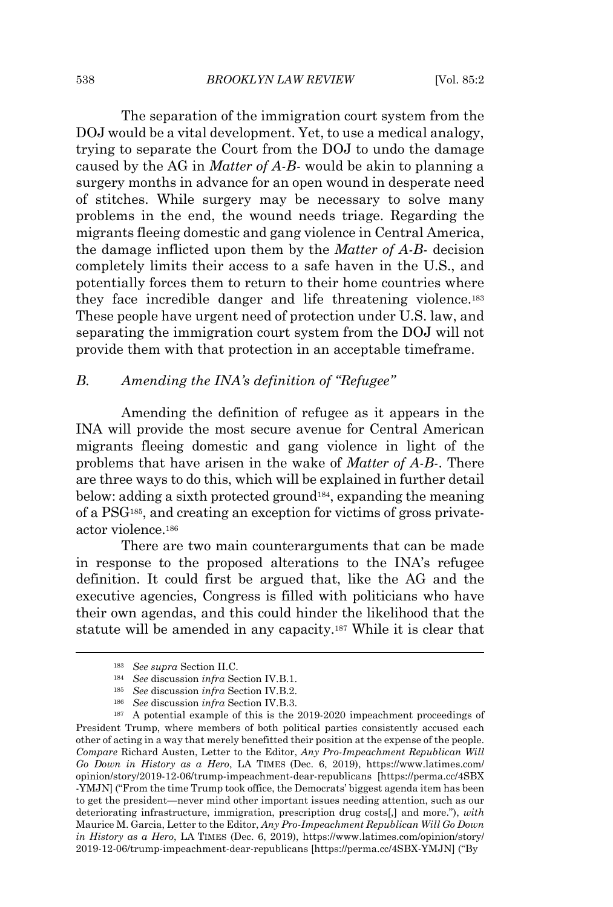The separation of the immigration court system from the DOJ would be a vital development. Yet, to use a medical analogy, trying to separate the Court from the DOJ to undo the damage caused by the AG in *Matter of A-B-* would be akin to planning a surgery months in advance for an open wound in desperate need of stitches. While surgery may be necessary to solve many problems in the end, the wound needs triage. Regarding the migrants fleeing domestic and gang violence in Central America, the damage inflicted upon them by the *Matter of A-B-* decision completely limits their access to a safe haven in the U.S., and potentially forces them to return to their home countries where they face incredible danger and life threatening violence.<sup>183</sup> These people have urgent need of protection under U.S. law, and separating the immigration court system from the DOJ will not provide them with that protection in an acceptable timeframe.

# *B. Amending the INA's definition of "Refugee"*

Amending the definition of refugee as it appears in the INA will provide the most secure avenue for Central American migrants fleeing domestic and gang violence in light of the problems that have arisen in the wake of *Matter of A-B-*. There are three ways to do this, which will be explained in further detail below: adding a sixth protected ground<sup>184</sup>, expanding the meaning of a PSG<sup>185</sup> , and creating an exception for victims of gross privateactor violence.<sup>186</sup>

There are two main counterarguments that can be made in response to the proposed alterations to the INA's refugee definition. It could first be argued that, like the AG and the executive agencies, Congress is filled with politicians who have their own agendas, and this could hinder the likelihood that the statute will be amended in any capacity.<sup>187</sup> While it is clear that

<sup>183</sup> *See supra* Section II.C.

<sup>184</sup> *See* discussion *infra* Section IV.B.1.

<sup>185</sup> *See* discussion *infra* Section IV.B.2.

<sup>186</sup> *See* discussion *infra* Section IV.B.3.

<sup>&</sup>lt;sup>187</sup> A potential example of this is the 2019-2020 impeachment proceedings of President Trump, where members of both political parties consistently accused each other of acting in a way that merely benefitted their position at the expense of the people. *Compare* Richard Austen, Letter to the Editor, *Any Pro-Impeachment Republican Will Go Down in History as a Hero*, LA TIMES (Dec. 6, 2019), https://www.latimes.com/ opinion/story/2019-12-06/trump-impeachment-dear-republicans [https://perma.cc/4SBX -YMJN] ("From the time Trump took office, the Democrats' biggest agenda item has been to get the president—never mind other important issues needing attention, such as our deteriorating infrastructure, immigration, prescription drug costs[,] and more."), *with* Maurice M. Garcia, Letter to the Editor, *Any Pro-Impeachment Republican Will Go Down in History as a Hero*, LA TIMES (Dec. 6, 2019), https://www.latimes.com/opinion/story/ 2019-12-06/trump-impeachment-dear-republicans [https://perma.cc/4SBX-YMJN] ("By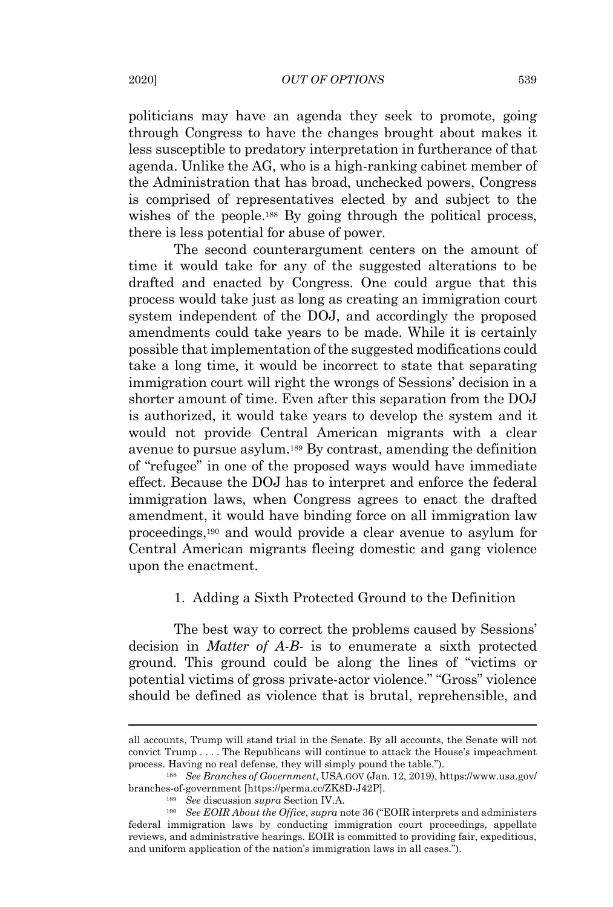politicians may have an agenda they seek to promote, going through Congress to have the changes brought about makes it less susceptible to predatory interpretation in furtherance of that agenda. Unlike the AG, who is a high-ranking cabinet member of the Administration that has broad, unchecked powers, Congress is comprised of representatives elected by and subject to the wishes of the people.<sup>188</sup> By going through the political process, there is less potential for abuse of power.

The second counterargument centers on the amount of time it would take for any of the suggested alterations to be drafted and enacted by Congress. One could argue that this process would take just as long as creating an immigration court system independent of the DOJ, and accordingly the proposed amendments could take years to be made. While it is certainly possible that implementation of the suggested modifications could take a long time, it would be incorrect to state that separating immigration court will right the wrongs of Sessions' decision in a shorter amount of time. Even after this separation from the DOJ is authorized, it would take years to develop the system and it would not provide Central American migrants with a clear avenue to pursue asylum.<sup>189</sup> By contrast, amending the definition of "refugee" in one of the proposed ways would have immediate effect. Because the DOJ has to interpret and enforce the federal immigration laws, when Congress agrees to enact the drafted amendment, it would have binding force on all immigration law proceedings, <sup>190</sup> and would provide a clear avenue to asylum for Central American migrants fleeing domestic and gang violence upon the enactment.

# 1. Adding a Sixth Protected Ground to the Definition

The best way to correct the problems caused by Sessions' decision in *Matter of A-B-* is to enumerate a sixth protected ground. This ground could be along the lines of "victims or potential victims of gross private-actor violence." "Gross" violence should be defined as violence that is brutal, reprehensible, and

all accounts, Trump will stand trial in the Senate. By all accounts, the Senate will not convict Trump . . . . The Republicans will continue to attack the House's impeachment process. Having no real defense, they will simply pound the table.").

<sup>188</sup> *See Branches of Government*, USA.GOV (Jan. 12, 2019), https://www.usa.gov/ branches-of-government [https://perma.cc/ZK8D-J42P].

<sup>189</sup> *See* discussion *supra* Section IV.A.

<sup>190</sup> *See EOIR About the Office*, *supra* note 36 ("EOIR interprets and administers federal immigration laws by conducting immigration court proceedings, appellate reviews, and administrative hearings. EOIR is committed to providing fair, expeditious, and uniform application of the nation's immigration laws in all cases.").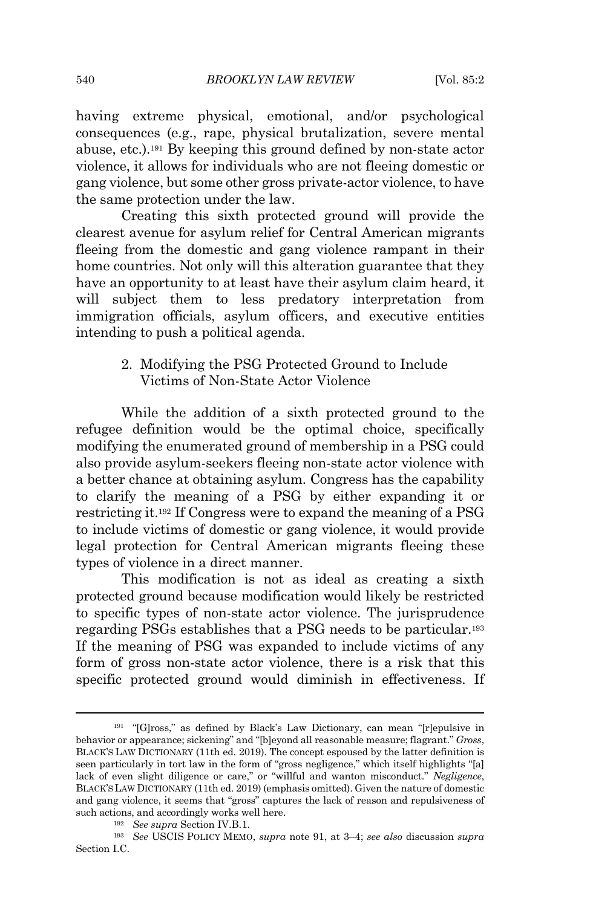having extreme physical, emotional, and/or psychological consequences (e.g., rape, physical brutalization, severe mental abuse, etc.). <sup>191</sup> By keeping this ground defined by non-state actor violence, it allows for individuals who are not fleeing domestic or gang violence, but some other gross private-actor violence, to have the same protection under the law.

Creating this sixth protected ground will provide the clearest avenue for asylum relief for Central American migrants fleeing from the domestic and gang violence rampant in their home countries. Not only will this alteration guarantee that they have an opportunity to at least have their asylum claim heard, it will subject them to less predatory interpretation from immigration officials, asylum officers, and executive entities intending to push a political agenda.

# 2. Modifying the PSG Protected Ground to Include Victims of Non-State Actor Violence

While the addition of a sixth protected ground to the refugee definition would be the optimal choice, specifically modifying the enumerated ground of membership in a PSG could also provide asylum-seekers fleeing non-state actor violence with a better chance at obtaining asylum. Congress has the capability to clarify the meaning of a PSG by either expanding it or restricting it. <sup>192</sup> If Congress were to expand the meaning of a PSG to include victims of domestic or gang violence, it would provide legal protection for Central American migrants fleeing these types of violence in a direct manner.

This modification is not as ideal as creating a sixth protected ground because modification would likely be restricted to specific types of non-state actor violence. The jurisprudence regarding PSGs establishes that a PSG needs to be particular.<sup>193</sup> If the meaning of PSG was expanded to include victims of any form of gross non-state actor violence, there is a risk that this specific protected ground would diminish in effectiveness. If

<sup>191</sup> "[G]ross," as defined by Black's Law Dictionary, can mean "[r]epulsive in behavior or appearance; sickening" and "[b]eyond all reasonable measure; flagrant." *Gross*, BLACK'S LAW DICTIONARY (11th ed. 2019). The concept espoused by the latter definition is seen particularly in tort law in the form of "gross negligence," which itself highlights "[a] lack of even slight diligence or care," or "willful and wanton misconduct." *Negligence*, BLACK'SLAW DICTIONARY (11th ed. 2019) (emphasis omitted). Given the nature of domestic and gang violence, it seems that "gross" captures the lack of reason and repulsiveness of such actions, and accordingly works well here.

<sup>192</sup> *See supra* Section IV.B.1.

<sup>193</sup> *See* USCIS POLICY MEMO, *supra* note 91, at 3–4; *see also* discussion *supra* Section I.C.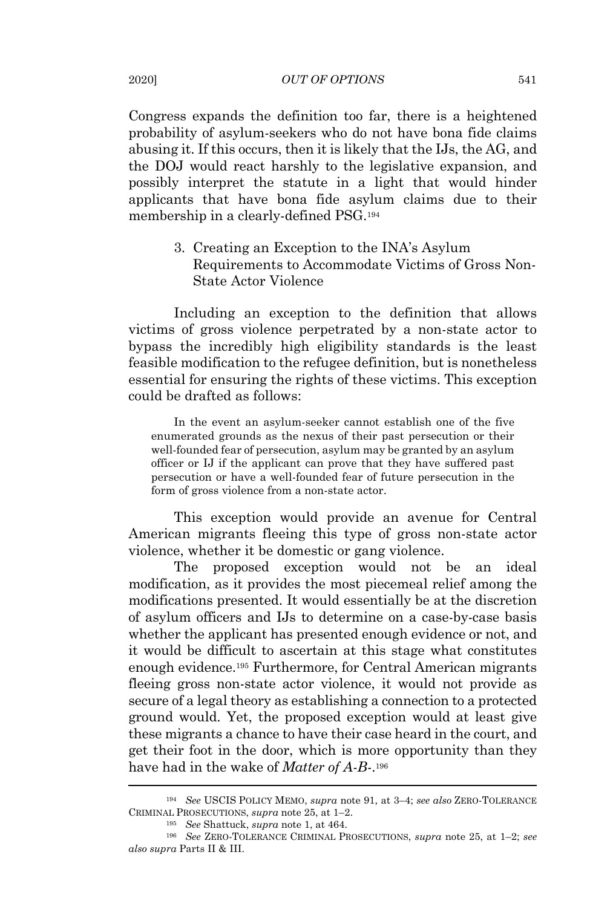Congress expands the definition too far, there is a heightened probability of asylum-seekers who do not have bona fide claims abusing it. If this occurs, then it is likely that the IJs, the AG, and the DOJ would react harshly to the legislative expansion, and possibly interpret the statute in a light that would hinder applicants that have bona fide asylum claims due to their membership in a clearly-defined PSG.<sup>194</sup>

> 3. Creating an Exception to the INA's Asylum Requirements to Accommodate Victims of Gross Non-State Actor Violence

Including an exception to the definition that allows victims of gross violence perpetrated by a non-state actor to bypass the incredibly high eligibility standards is the least feasible modification to the refugee definition, but is nonetheless essential for ensuring the rights of these victims. This exception could be drafted as follows:

In the event an asylum-seeker cannot establish one of the five enumerated grounds as the nexus of their past persecution or their well-founded fear of persecution, asylum may be granted by an asylum officer or IJ if the applicant can prove that they have suffered past persecution or have a well-founded fear of future persecution in the form of gross violence from a non-state actor.

This exception would provide an avenue for Central American migrants fleeing this type of gross non-state actor violence, whether it be domestic or gang violence.

The proposed exception would not be an ideal modification, as it provides the most piecemeal relief among the modifications presented. It would essentially be at the discretion of asylum officers and IJs to determine on a case-by-case basis whether the applicant has presented enough evidence or not, and it would be difficult to ascertain at this stage what constitutes enough evidence.<sup>195</sup> Furthermore, for Central American migrants fleeing gross non-state actor violence, it would not provide as secure of a legal theory as establishing a connection to a protected ground would. Yet, the proposed exception would at least give these migrants a chance to have their case heard in the court, and get their foot in the door, which is more opportunity than they have had in the wake of *Matter of A-B-*. 196

<sup>194</sup> *See* USCIS POLICY MEMO, *supra* note 91, at 3–4; *see also* ZERO-TOLERANCE CRIMINAL PROSECUTIONS, *supra* note 25, at 1–2.

<sup>195</sup> *See* Shattuck, *supra* note 1, at 464.

<sup>196</sup> *See* ZERO-TOLERANCE CRIMINAL PROSECUTIONS, *supra* note 25, at 1–2; *see also supra* Parts II & III.